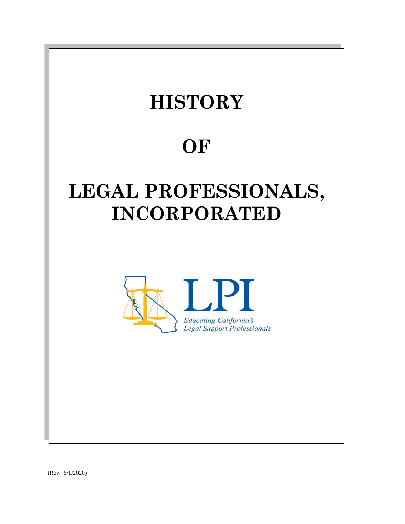

(Rev. 5/1/2020)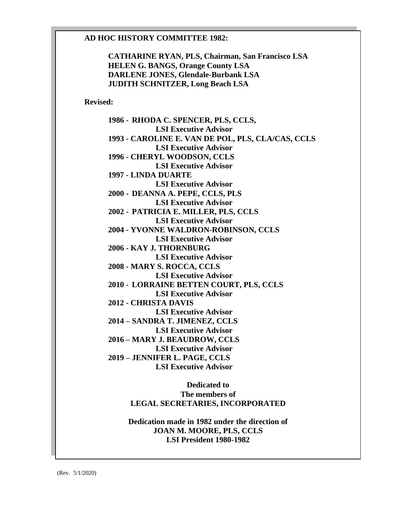### **AD HOC HISTORY COMMITTEE 1982:**

**CATHARINE RYAN, PLS, Chairman, San Francisco LSA HELEN G. BANGS, Orange County LSA DARLENE JONES, Glendale-Burbank LSA JUDITH SCHNITZER, Long Beach LSA**

**Revised:**

**1986 - RHODA C. SPENCER, PLS, CCLS, LSI Executive Advisor 1993 - CAROLINE E. VAN DE POL, PLS, CLA/CAS, CCLS LSI Executive Advisor 1996 - CHERYL WOODSON, CCLS LSI Executive Advisor 1997 - LINDA DUARTE LSI Executive Advisor 2000 - DEANNA A. PEPE, CCLS, PLS LSI Executive Advisor 2002 - PATRICIA E. MILLER, PLS, CCLS LSI Executive Advisor 2004 - YVONNE WALDRON-ROBINSON, CCLS LSI Executive Advisor 2006 - KAY J. THORNBURG LSI Executive Advisor 2008 - MARY S. ROCCA, CCLS LSI Executive Advisor 2010 - LORRAINE BETTEN COURT, PLS, CCLS LSI Executive Advisor 2012 - CHRISTA DAVIS LSI Executive Advisor 2014 – SANDRA T. JIMENEZ, CCLS LSI Executive Advisor 2016 – MARY J. BEAUDROW, CCLS LSI Executive Advisor 2019 – JENNIFER L. PAGE, CCLS LSI Executive Advisor** 

> **Dedicated to The members of LEGAL SECRETARIES, INCORPORATED**

**Dedication made in 1982 under the direction of JOAN M. MOORE, PLS, CCLS LSI President 1980-1982**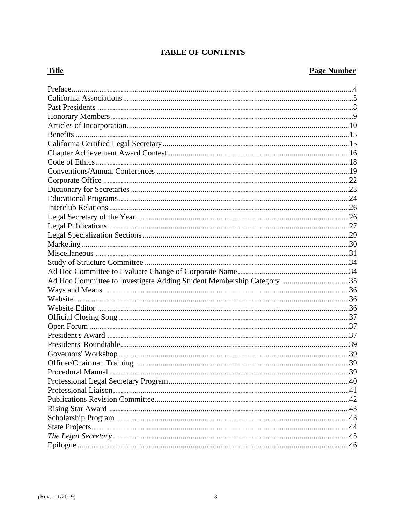# **TABLE OF CONTENTS**

# **Title**

# **Page Number**

| Ad Hoc Committee to Investigate Adding Student Membership Category 35 |  |
|-----------------------------------------------------------------------|--|
|                                                                       |  |
|                                                                       |  |
|                                                                       |  |
|                                                                       |  |
|                                                                       |  |
|                                                                       |  |
|                                                                       |  |
|                                                                       |  |
|                                                                       |  |
|                                                                       |  |
|                                                                       |  |
|                                                                       |  |
|                                                                       |  |
|                                                                       |  |
|                                                                       |  |
|                                                                       |  |
|                                                                       |  |
|                                                                       |  |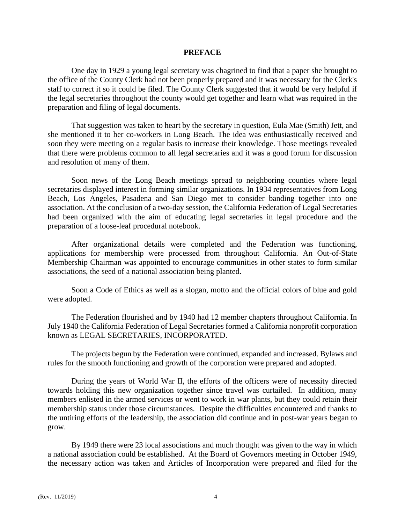#### **PREFACE**

One day in 1929 a young legal secretary was chagrined to find that a paper she brought to the office of the County Clerk had not been properly prepared and it was necessary for the Clerk's staff to correct it so it could be filed. The County Clerk suggested that it would be very helpful if the legal secretaries throughout the county would get together and learn what was required in the preparation and filing of legal documents.

That suggestion was taken to heart by the secretary in question, Eula Mae (Smith) Jett, and she mentioned it to her co-workers in Long Beach. The idea was enthusiastically received and soon they were meeting on a regular basis to increase their knowledge. Those meetings revealed that there were problems common to all legal secretaries and it was a good forum for discussion and resolution of many of them.

Soon news of the Long Beach meetings spread to neighboring counties where legal secretaries displayed interest in forming similar organizations. In 1934 representatives from Long Beach, Los Angeles, Pasadena and San Diego met to consider banding together into one association. At the conclusion of a two-day session, the California Federation of Legal Secretaries had been organized with the aim of educating legal secretaries in legal procedure and the preparation of a loose-leaf procedural notebook.

After organizational details were completed and the Federation was functioning, applications for membership were processed from throughout California. An Out-of-State Membership Chairman was appointed to encourage communities in other states to form similar associations, the seed of a national association being planted.

Soon a Code of Ethics as well as a slogan, motto and the official colors of blue and gold were adopted.

The Federation flourished and by 1940 had 12 member chapters throughout California. In July 1940 the California Federation of Legal Secretaries formed a California nonprofit corporation known as LEGAL SECRETARIES, INCORPORATED.

The projects begun by the Federation were continued, expanded and increased. Bylaws and rules for the smooth functioning and growth of the corporation were prepared and adopted.

During the years of World War II, the efforts of the officers were of necessity directed towards holding this new organization together since travel was curtailed. In addition, many members enlisted in the armed services or went to work in war plants, but they could retain their membership status under those circumstances. Despite the difficulties encountered and thanks to the untiring efforts of the leadership, the association did continue and in post-war years began to grow.

By 1949 there were 23 local associations and much thought was given to the way in which a national association could be established. At the Board of Governors meeting in October 1949, the necessary action was taken and Articles of Incorporation were prepared and filed for the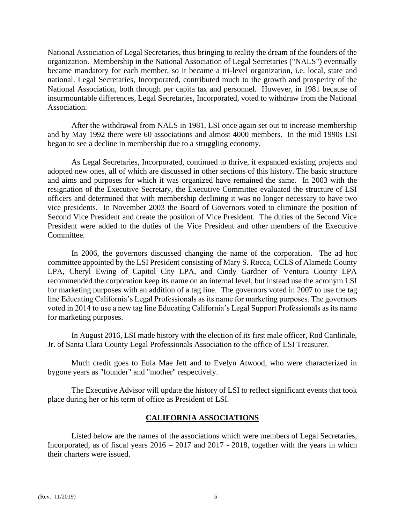National Association of Legal Secretaries, thus bringing to reality the dream of the founders of the organization. Membership in the National Association of Legal Secretaries ("NALS") eventually became mandatory for each member, so it became a tri-level organization, i.e. local, state and national. Legal Secretaries, Incorporated, contributed much to the growth and prosperity of the National Association, both through per capita tax and personnel. However, in 1981 because of insurmountable differences, Legal Secretaries, Incorporated, voted to withdraw from the National Association.

After the withdrawal from NALS in 1981, LSI once again set out to increase membership and by May 1992 there were 60 associations and almost 4000 members. In the mid 1990s LSI began to see a decline in membership due to a struggling economy.

As Legal Secretaries, Incorporated, continued to thrive, it expanded existing projects and adopted new ones, all of which are discussed in other sections of this history. The basic structure and aims and purposes for which it was organized have remained the same. In 2003 with the resignation of the Executive Secretary, the Executive Committee evaluated the structure of LSI officers and determined that with membership declining it was no longer necessary to have two vice presidents. In November 2003 the Board of Governors voted to eliminate the position of Second Vice President and create the position of Vice President. The duties of the Second Vice President were added to the duties of the Vice President and other members of the Executive Committee.

In 2006, the governors discussed changing the name of the corporation. The ad hoc committee appointed by the LSI President consisting of Mary S. Rocca, CCLS of Alameda County LPA, Cheryl Ewing of Capitol City LPA, and Cindy Gardner of Ventura County LPA recommended the corporation keep its name on an internal level, but instead use the acronym LSI for marketing purposes with an addition of a tag line. The governors voted in 2007 to use the tag line Educating California's Legal Professionals as its name for marketing purposes. The governors voted in 2014 to use a new tag line Educating California's Legal Support Professionals as its name for marketing purposes.

In August 2016, LSI made history with the election of its first male officer, Rod Cardinale, Jr. of Santa Clara County Legal Professionals Association to the office of LSI Treasurer.

Much credit goes to Eula Mae Jett and to Evelyn Atwood, who were characterized in bygone years as "founder" and "mother" respectively.

The Executive Advisor will update the history of LSI to reflect significant events that took place during her or his term of office as President of LSI.

# **CALIFORNIA ASSOCIATIONS**

Listed below are the names of the associations which were members of Legal Secretaries, Incorporated, as of fiscal years  $2016 - 2017$  and  $2017 - 2018$ , together with the years in which their charters were issued.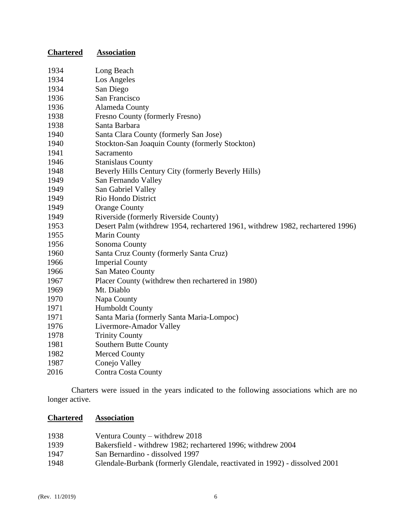| <b>Chartered</b> | <b>Association</b>                                                             |
|------------------|--------------------------------------------------------------------------------|
| 1934             | Long Beach                                                                     |
| 1934             | Los Angeles                                                                    |
| 1934             | San Diego                                                                      |
| 1936             | San Francisco                                                                  |
| 1936             | Alameda County                                                                 |
| 1938             | Fresno County (formerly Fresno)                                                |
| 1938             | Santa Barbara                                                                  |
| 1940             | Santa Clara County (formerly San Jose)                                         |
| 1940             | Stockton-San Joaquin County (formerly Stockton)                                |
| 1941             | Sacramento                                                                     |
| 1946             | <b>Stanislaus County</b>                                                       |
| 1948             | Beverly Hills Century City (formerly Beverly Hills)                            |
| 1949             | San Fernando Valley                                                            |
| 1949             | San Gabriel Valley                                                             |
| 1949             | Rio Hondo District                                                             |
| 1949             | <b>Orange County</b>                                                           |
| 1949             | Riverside (formerly Riverside County)                                          |
| 1953             | Desert Palm (withdrew 1954, rechartered 1961, withdrew 1982, rechartered 1996) |
| 1955             | <b>Marin County</b>                                                            |
| 1956             | Sonoma County                                                                  |
| 1960             | Santa Cruz County (formerly Santa Cruz)                                        |
| 1966             | <b>Imperial County</b>                                                         |
| 1966             | San Mateo County                                                               |
| 1967             | Placer County (withdrew then rechartered in 1980)                              |
| 1969             | Mt. Diablo                                                                     |
| 1970             | Napa County                                                                    |
| 1971             | <b>Humboldt County</b>                                                         |
| 1971             | Santa Maria (formerly Santa Maria-Lompoc)                                      |
| 1976             | Livermore-Amador Valley                                                        |
| 1978             | <b>Trinity County</b>                                                          |
| 1981             | Southern Butte County                                                          |
| 1982             | <b>Merced County</b>                                                           |
| 1987             | Conejo Valley                                                                  |
| 2016             | Contra Costa County                                                            |

Charters were issued in the years indicated to the following associations which are no longer active.

# **Chartered Association**

| 1938 | Ventura County – withdrew $2018$                                           |
|------|----------------------------------------------------------------------------|
| 1939 | Bakersfield - withdrew 1982; rechartered 1996; withdrew 2004               |
| 1947 | San Bernardino - dissolved 1997                                            |
| 1948 | Glendale-Burbank (formerly Glendale, reactivated in 1992) - dissolved 2001 |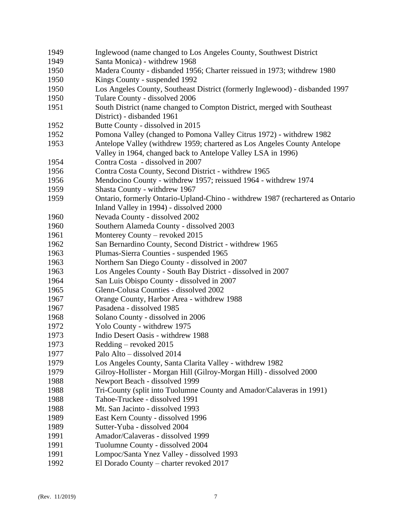| 1949 | Inglewood (name changed to Los Angeles County, Southwest District              |
|------|--------------------------------------------------------------------------------|
| 1949 | Santa Monica) - withdrew 1968                                                  |
| 1950 | Madera County - disbanded 1956; Charter reissued in 1973; withdrew 1980        |
| 1950 | Kings County - suspended 1992                                                  |
| 1950 | Los Angeles County, Southeast District (formerly Inglewood) - disbanded 1997   |
| 1950 | Tulare County - dissolved 2006                                                 |
| 1951 | South District (name changed to Compton District, merged with Southeast        |
|      | District) - disbanded 1961                                                     |
| 1952 | Butte County - dissolved in 2015                                               |
| 1952 | Pomona Valley (changed to Pomona Valley Citrus 1972) - withdrew 1982           |
| 1953 | Antelope Valley (withdrew 1959; chartered as Los Angeles County Antelope       |
|      | Valley in 1964, changed back to Antelope Valley LSA in 1996)                   |
| 1954 | Contra Costa - dissolved in 2007                                               |
| 1956 | Contra Costa County, Second District - withdrew 1965                           |
| 1956 | Mendocino County - withdrew 1957; reissued 1964 - withdrew 1974                |
| 1959 | Shasta County - withdrew 1967                                                  |
| 1959 | Ontario, formerly Ontario-Upland-Chino - withdrew 1987 (rechartered as Ontario |
|      | Inland Valley in 1994) - dissolved 2000                                        |
| 1960 | Nevada County - dissolved 2002                                                 |
| 1960 | Southern Alameda County - dissolved 2003                                       |
| 1961 | Monterey County – revoked 2015                                                 |
| 1962 | San Bernardino County, Second District - withdrew 1965                         |
| 1963 | Plumas-Sierra Counties - suspended 1965                                        |
| 1963 | Northern San Diego County - dissolved in 2007                                  |
| 1963 | Los Angeles County - South Bay District - dissolved in 2007                    |
| 1964 | San Luis Obispo County - dissolved in 2007                                     |
| 1965 | Glenn-Colusa Counties - dissolved 2002                                         |
| 1967 | Orange County, Harbor Area - withdrew 1988                                     |
| 1967 | Pasadena - dissolved 1985                                                      |
| 1968 | Solano County - dissolved in 2006                                              |
| 1972 | Yolo County - withdrew 1975                                                    |
| 1973 | Indio Desert Oasis - withdrew 1988                                             |
| 1973 | Redding – revoked 2015                                                         |
| 1977 | Palo Alto – dissolved 2014                                                     |
| 1979 | Los Angeles County, Santa Clarita Valley - withdrew 1982                       |
| 1979 | Gilroy-Hollister - Morgan Hill (Gilroy-Morgan Hill) - dissolved 2000           |
| 1988 | Newport Beach - dissolved 1999                                                 |
| 1988 | Tri-County (split into Tuolumne County and Amador/Calaveras in 1991)           |
| 1988 | Tahoe-Truckee - dissolved 1991                                                 |
| 1988 | Mt. San Jacinto - dissolved 1993                                               |
| 1989 | East Kern County - dissolved 1996                                              |
| 1989 | Sutter-Yuba - dissolved 2004                                                   |
| 1991 | Amador/Calaveras - dissolved 1999                                              |
| 1991 | Tuolumne County - dissolved 2004                                               |
| 1991 | Lompoc/Santa Ynez Valley - dissolved 1993                                      |
| 1992 | El Dorado County - charter revoked 2017                                        |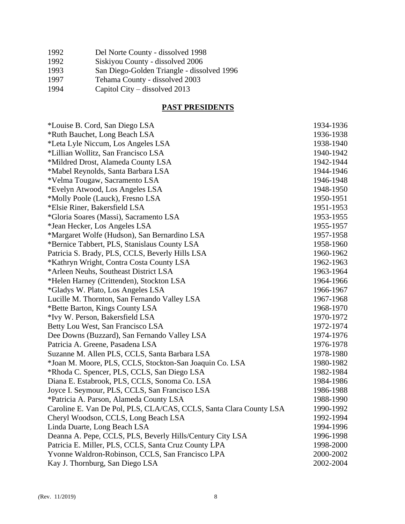| 1992 | Del Norte County - dissolved 1998          |
|------|--------------------------------------------|
| 1992 | Siskiyou County - dissolved 2006           |
| 1993 | San Diego-Golden Triangle - dissolved 1996 |
| 1997 | Tehama County - dissolved 2003             |
| 1994 | Capitol City – dissolved 2013              |
|      |                                            |

# **PAST PRESIDENTS**

| *Louise B. Cord, San Diego LSA                                     | 1934-1936 |
|--------------------------------------------------------------------|-----------|
| *Ruth Bauchet, Long Beach LSA                                      | 1936-1938 |
| *Leta Lyle Niccum, Los Angeles LSA                                 | 1938-1940 |
| *Lillian Wollitz, San Francisco LSA                                | 1940-1942 |
| *Mildred Drost, Alameda County LSA                                 | 1942-1944 |
| *Mabel Reynolds, Santa Barbara LSA                                 | 1944-1946 |
| *Velma Tougaw, Sacramento LSA                                      | 1946-1948 |
| *Evelyn Atwood, Los Angeles LSA                                    | 1948-1950 |
| *Molly Poole (Lauck), Fresno LSA                                   | 1950-1951 |
| *Elsie Riner, Bakersfield LSA                                      | 1951-1953 |
| *Gloria Soares (Massi), Sacramento LSA                             | 1953-1955 |
| *Jean Hecker, Los Angeles LSA                                      | 1955-1957 |
| *Margaret Wolfe (Hudson), San Bernardino LSA                       | 1957-1958 |
| *Bernice Tabbert, PLS, Stanislaus County LSA                       | 1958-1960 |
| Patricia S. Brady, PLS, CCLS, Beverly Hills LSA                    | 1960-1962 |
| *Kathryn Wright, Contra Costa County LSA                           | 1962-1963 |
| *Arleen Neuhs, Southeast District LSA                              | 1963-1964 |
| *Helen Harney (Crittenden), Stockton LSA                           | 1964-1966 |
| <i>*Gladys W. Plato, Los Angeles LSA</i>                           | 1966-1967 |
| Lucille M. Thornton, San Fernando Valley LSA                       | 1967-1968 |
| *Bette Barton, Kings County LSA                                    | 1968-1970 |
| *Ivy W. Person, Bakersfield LSA                                    | 1970-1972 |
| Betty Lou West, San Francisco LSA                                  | 1972-1974 |
| Dee Downs (Buzzard), San Fernando Valley LSA                       | 1974-1976 |
| Patricia A. Greene, Pasadena LSA                                   | 1976-1978 |
| Suzanne M. Allen PLS, CCLS, Santa Barbara LSA                      | 1978-1980 |
| *Joan M. Moore, PLS, CCLS, Stockton-San Joaquin Co. LSA            | 1980-1982 |
| *Rhoda C. Spencer, PLS, CCLS, San Diego LSA                        | 1982-1984 |
| Diana E. Estabrook, PLS, CCLS, Sonoma Co. LSA                      | 1984-1986 |
| Joyce I. Seymour, PLS, CCLS, San Francisco LSA                     | 1986-1988 |
| *Patricia A. Parson, Alameda County LSA                            | 1988-1990 |
| Caroline E. Van De Pol, PLS, CLA/CAS, CCLS, Santa Clara County LSA | 1990-1992 |
| Cheryl Woodson, CCLS, Long Beach LSA                               | 1992-1994 |
| Linda Duarte, Long Beach LSA                                       | 1994-1996 |
| Deanna A. Pepe, CCLS, PLS, Beverly Hills/Century City LSA          | 1996-1998 |
| Patricia E. Miller, PLS, CCLS, Santa Cruz County LPA               | 1998-2000 |
| Yvonne Waldron-Robinson, CCLS, San Francisco LPA                   | 2000-2002 |
| Kay J. Thornburg, San Diego LSA                                    | 2002-2004 |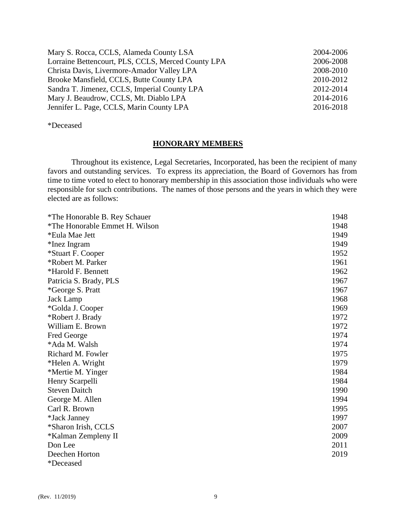| 2004-2006 |
|-----------|
| 2006-2008 |
| 2008-2010 |
| 2010-2012 |
| 2012-2014 |
| 2014-2016 |
| 2016-2018 |
|           |

# \*Deceased

#### **HONORARY MEMBERS**

Throughout its existence, Legal Secretaries, Incorporated, has been the recipient of many favors and outstanding services. To express its appreciation, the Board of Governors has from time to time voted to elect to honorary membership in this association those individuals who were responsible for such contributions. The names of those persons and the years in which they were elected are as follows:

| *The Honorable B. Rey Schauer  | 1948 |
|--------------------------------|------|
| *The Honorable Emmet H. Wilson | 1948 |
| *Eula Mae Jett                 | 1949 |
| *Inez Ingram                   | 1949 |
| *Stuart F. Cooper              | 1952 |
| *Robert M. Parker              | 1961 |
| *Harold F. Bennett             | 1962 |
| Patricia S. Brady, PLS         | 1967 |
| *George S. Pratt               | 1967 |
| Jack Lamp                      | 1968 |
| *Golda J. Cooper               | 1969 |
| *Robert J. Brady               | 1972 |
| William E. Brown               | 1972 |
| Fred George                    | 1974 |
| *Ada M. Walsh                  | 1974 |
| Richard M. Fowler              | 1975 |
| *Helen A. Wright               | 1979 |
| *Mertie M. Yinger              | 1984 |
| Henry Scarpelli                | 1984 |
| <b>Steven Daitch</b>           | 1990 |
| George M. Allen                | 1994 |
| Carl R. Brown                  | 1995 |
| *Jack Janney                   | 1997 |
| *Sharon Irish, CCLS            | 2007 |
| *Kalman Zempleny II            | 2009 |
| Don Lee                        | 2011 |
| Deechen Horton                 | 2019 |
| *Deceased                      |      |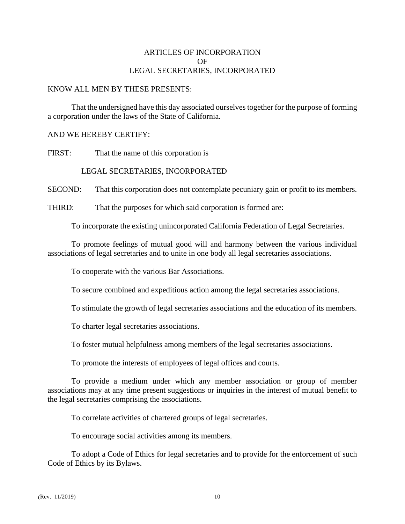# ARTICLES OF INCORPORATION OF LEGAL SECRETARIES, INCORPORATED

## KNOW ALL MEN BY THESE PRESENTS:

That the undersigned have this day associated ourselves together for the purpose of forming a corporation under the laws of the State of California.

# AND WE HEREBY CERTIFY:

FIRST: That the name of this corporation is

# LEGAL SECRETARIES, INCORPORATED

SECOND: That this corporation does not contemplate pecuniary gain or profit to its members.

THIRD: That the purposes for which said corporation is formed are:

To incorporate the existing unincorporated California Federation of Legal Secretaries.

To promote feelings of mutual good will and harmony between the various individual associations of legal secretaries and to unite in one body all legal secretaries associations.

To cooperate with the various Bar Associations.

To secure combined and expeditious action among the legal secretaries associations.

To stimulate the growth of legal secretaries associations and the education of its members.

To charter legal secretaries associations.

To foster mutual helpfulness among members of the legal secretaries associations.

To promote the interests of employees of legal offices and courts.

To provide a medium under which any member association or group of member associations may at any time present suggestions or inquiries in the interest of mutual benefit to the legal secretaries comprising the associations.

To correlate activities of chartered groups of legal secretaries.

To encourage social activities among its members.

To adopt a Code of Ethics for legal secretaries and to provide for the enforcement of such Code of Ethics by its Bylaws.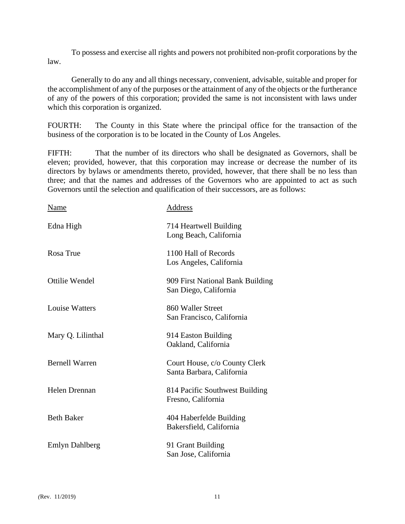To possess and exercise all rights and powers not prohibited non-profit corporations by the law.

Generally to do any and all things necessary, convenient, advisable, suitable and proper for the accomplishment of any of the purposes or the attainment of any of the objects or the furtherance of any of the powers of this corporation; provided the same is not inconsistent with laws under which this corporation is organized.

FOURTH: The County in this State where the principal office for the transaction of the business of the corporation is to be located in the County of Los Angeles.

FIFTH: That the number of its directors who shall be designated as Governors, shall be eleven; provided, however, that this corporation may increase or decrease the number of its directors by bylaws or amendments thereto, provided, however, that there shall be no less than three; and that the names and addresses of the Governors who are appointed to act as such Governors until the selection and qualification of their successors, are as follows:

| Name                  | Address                                                    |
|-----------------------|------------------------------------------------------------|
| Edna High             | 714 Heartwell Building<br>Long Beach, California           |
| Rosa True             | 1100 Hall of Records<br>Los Angeles, California            |
| Ottilie Wendel        | 909 First National Bank Building<br>San Diego, California  |
| <b>Louise Watters</b> | 860 Waller Street<br>San Francisco, California             |
| Mary Q. Lilinthal     | 914 Easton Building<br>Oakland, California                 |
| <b>Bernell Warren</b> | Court House, c/o County Clerk<br>Santa Barbara, California |
| Helen Drennan         | 814 Pacific Southwest Building<br>Fresno, California       |
| <b>Beth Baker</b>     | 404 Haberfelde Building<br>Bakersfield, California         |
| <b>Emlyn Dahlberg</b> | 91 Grant Building<br>San Jose, California                  |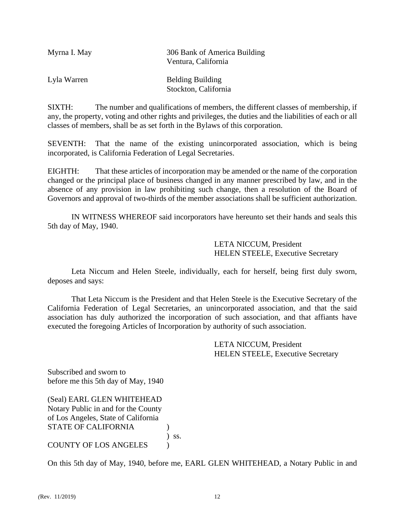| Myrna I. May | 306 Bank of America Building<br>Ventura, California |
|--------------|-----------------------------------------------------|
| Lyla Warren  | <b>Belding Building</b><br>Stockton, California     |

SIXTH: The number and qualifications of members, the different classes of membership, if any, the property, voting and other rights and privileges, the duties and the liabilities of each or all classes of members, shall be as set forth in the Bylaws of this corporation.

SEVENTH: That the name of the existing unincorporated association, which is being incorporated, is California Federation of Legal Secretaries.

EIGHTH: That these articles of incorporation may be amended or the name of the corporation changed or the principal place of business changed in any manner prescribed by law, and in the absence of any provision in law prohibiting such change, then a resolution of the Board of Governors and approval of two-thirds of the member associations shall be sufficient authorization.

IN WITNESS WHEREOF said incorporators have hereunto set their hands and seals this 5th day of May, 1940.

> LETA NICCUM, President HELEN STEELE, Executive Secretary

Leta Niccum and Helen Steele, individually, each for herself, being first duly sworn, deposes and says:

That Leta Niccum is the President and that Helen Steele is the Executive Secretary of the California Federation of Legal Secretaries, an unincorporated association, and that the said association has duly authorized the incorporation of such association, and that affiants have executed the foregoing Articles of Incorporation by authority of such association.

> LETA NICCUM, President HELEN STEELE, Executive Secretary

Subscribed and sworn to before me this 5th day of May, 1940

(Seal) EARL GLEN WHITEHEAD Notary Public in and for the County of Los Angeles, State of California STATE OF CALIFORNIA (1)

) ss.

COUNTY OF LOS ANGELES )

On this 5th day of May, 1940, before me, EARL GLEN WHITEHEAD, a Notary Public in and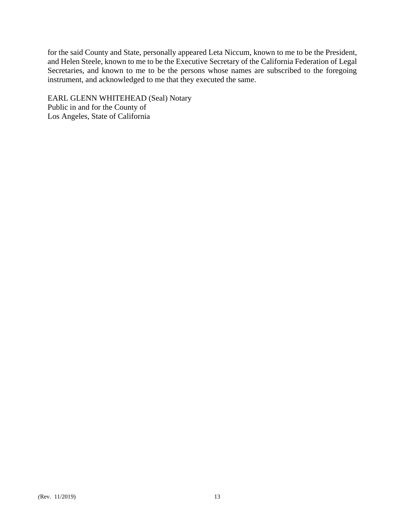for the said County and State, personally appeared Leta Niccum, known to me to be the President, and Helen Steele, known to me to be the Executive Secretary of the California Federation of Legal Secretaries, and known to me to be the persons whose names are subscribed to the foregoing instrument, and acknowledged to me that they executed the same.

EARL GLENN WHITEHEAD (Seal) Notary Public in and for the County of Los Angeles, State of California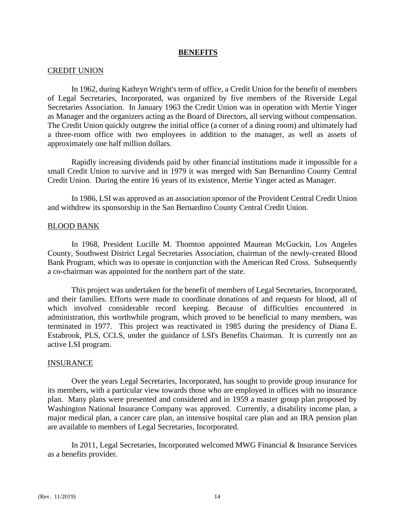#### **BENEFITS**

#### CREDIT UNION

In 1962, during Kathryn Wright's term of office, a Credit Union for the benefit of members of Legal Secretaries, Incorporated, was organized by five members of the Riverside Legal Secretaries Association. In January 1963 the Credit Union was in operation with Mertie Yinger as Manager and the organizers acting as the Board of Directors, all serving without compensation. The Credit Union quickly outgrew the initial office (a corner of a dining room) and ultimately had a three-room office with two employees in addition to the manager, as well as assets of approximately one half million dollars.

Rapidly increasing dividends paid by other financial institutions made it impossible for a small Credit Union to survive and in 1979 it was merged with San Bernardino County Central Credit Union. During the entire 16 years of its existence, Mertie Yinger acted as Manager.

In 1986, LSI was approved as an association sponsor of the Provident Central Credit Union and withdrew its sponsorship in the San Bernardino County Central Credit Union.

#### BLOOD BANK

In 1968, President Lucille M. Thornton appointed Maurean McGuckin, Los Angeles County, Southwest District Legal Secretaries Association, chairman of the newly-created Blood Bank Program, which was to operate in conjunction with the American Red Cross. Subsequently a co-chairman was appointed for the northern part of the state.

This project was undertaken for the benefit of members of Legal Secretaries, Incorporated, and their families. Efforts were made to coordinate donations of and requests for blood, all of which involved considerable record keeping. Because of difficulties encountered in administration, this worthwhile program, which proved to be beneficial to many members, was terminated in 1977. This project was reactivated in 1985 during the presidency of Diana E. Estabrook, PLS, CCLS, under the guidance of LSI's Benefits Chairman. It is currently not an active LSI program.

#### INSURANCE

Over the years Legal Secretaries, Incorporated, has sought to provide group insurance for its members, with a particular view towards those who are employed in offices with no insurance plan. Many plans were presented and considered and in 1959 a master group plan proposed by Washington National Insurance Company was approved. Currently, a disability income plan, a major medical plan, a cancer care plan, an intensive hospital care plan and an IRA pension plan are available to members of Legal Secretaries, Incorporated.

In 2011, Legal Secretaries, Incorporated welcomed MWG Financial & Insurance Services as a benefits provider.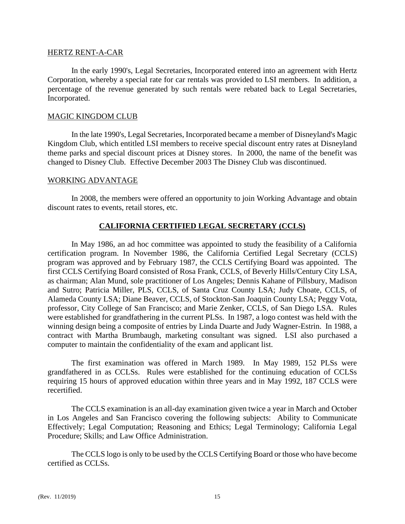#### HERTZ RENT-A-CAR

In the early 1990's, Legal Secretaries, Incorporated entered into an agreement with Hertz Corporation, whereby a special rate for car rentals was provided to LSI members. In addition, a percentage of the revenue generated by such rentals were rebated back to Legal Secretaries, Incorporated.

## MAGIC KINGDOM CLUB

In the late 1990's, Legal Secretaries, Incorporated became a member of Disneyland's Magic Kingdom Club, which entitled LSI members to receive special discount entry rates at Disneyland theme parks and special discount prices at Disney stores. In 2000, the name of the benefit was changed to Disney Club. Effective December 2003 The Disney Club was discontinued.

## WORKING ADVANTAGE

In 2008, the members were offered an opportunity to join Working Advantage and obtain discount rates to events, retail stores, etc.

# **CALIFORNIA CERTIFIED LEGAL SECRETARY (CCLS)**

In May 1986, an ad hoc committee was appointed to study the feasibility of a California certification program. In November 1986, the California Certified Legal Secretary (CCLS) program was approved and by February 1987, the CCLS Certifying Board was appointed. The first CCLS Certifying Board consisted of Rosa Frank, CCLS, of Beverly Hills/Century City LSA, as chairman; Alan Mund, sole practitioner of Los Angeles; Dennis Kahane of Pillsbury, Madison and Sutro; Patricia Miller, PLS, CCLS, of Santa Cruz County LSA; Judy Choate, CCLS, of Alameda County LSA; Diane Beaver, CCLS, of Stockton-San Joaquin County LSA; Peggy Vota, professor, City College of San Francisco; and Marie Zenker, CCLS, of San Diego LSA. Rules were established for grandfathering in the current PLSs. In 1987, a logo contest was held with the winning design being a composite of entries by Linda Duarte and Judy Wagner-Estrin. In 1988, a contract with Martha Brumbaugh, marketing consultant was signed. LSI also purchased a computer to maintain the confidentiality of the exam and applicant list.

The first examination was offered in March 1989. In May 1989, 152 PLSs were grandfathered in as CCLSs. Rules were established for the continuing education of CCLSs requiring 15 hours of approved education within three years and in May 1992, 187 CCLS were recertified.

The CCLS examination is an all-day examination given twice a year in March and October in Los Angeles and San Francisco covering the following subjects: Ability to Communicate Effectively; Legal Computation; Reasoning and Ethics; Legal Terminology; California Legal Procedure; Skills; and Law Office Administration.

The CCLS logo is only to be used by the CCLS Certifying Board or those who have become certified as CCLSs.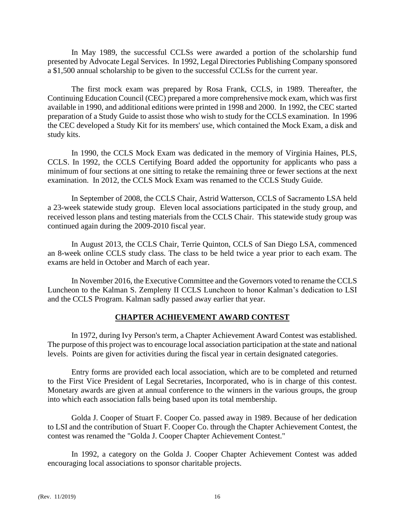In May 1989, the successful CCLSs were awarded a portion of the scholarship fund presented by Advocate Legal Services. In 1992, Legal Directories Publishing Company sponsored a \$1,500 annual scholarship to be given to the successful CCLSs for the current year.

The first mock exam was prepared by Rosa Frank, CCLS, in 1989. Thereafter, the Continuing Education Council (CEC) prepared a more comprehensive mock exam, which was first available in 1990, and additional editions were printed in 1998 and 2000. In 1992, the CEC started preparation of a Study Guide to assist those who wish to study for the CCLS examination. In 1996 the CEC developed a Study Kit for its members' use, which contained the Mock Exam, a disk and study kits.

In 1990, the CCLS Mock Exam was dedicated in the memory of Virginia Haines, PLS, CCLS. In 1992, the CCLS Certifying Board added the opportunity for applicants who pass a minimum of four sections at one sitting to retake the remaining three or fewer sections at the next examination. In 2012, the CCLS Mock Exam was renamed to the CCLS Study Guide.

In September of 2008, the CCLS Chair, Astrid Watterson, CCLS of Sacramento LSA held a 23-week statewide study group. Eleven local associations participated in the study group, and received lesson plans and testing materials from the CCLS Chair. This statewide study group was continued again during the 2009-2010 fiscal year.

In August 2013, the CCLS Chair, Terrie Quinton, CCLS of San Diego LSA, commenced an 8-week online CCLS study class. The class to be held twice a year prior to each exam. The exams are held in October and March of each year.

In November 2016, the Executive Committee and the Governors voted to rename the CCLS Luncheon to the Kalman S. Zempleny II CCLS Luncheon to honor Kalman's dedication to LSI and the CCLS Program. Kalman sadly passed away earlier that year.

# **CHAPTER ACHIEVEMENT AWARD CONTEST**

In 1972, during Ivy Person's term, a Chapter Achievement Award Contest was established. The purpose of this project was to encourage local association participation at the state and national levels. Points are given for activities during the fiscal year in certain designated categories.

Entry forms are provided each local association, which are to be completed and returned to the First Vice President of Legal Secretaries, Incorporated, who is in charge of this contest. Monetary awards are given at annual conference to the winners in the various groups, the group into which each association falls being based upon its total membership.

Golda J. Cooper of Stuart F. Cooper Co. passed away in 1989. Because of her dedication to LSI and the contribution of Stuart F. Cooper Co. through the Chapter Achievement Contest, the contest was renamed the "Golda J. Cooper Chapter Achievement Contest."

In 1992, a category on the Golda J. Cooper Chapter Achievement Contest was added encouraging local associations to sponsor charitable projects.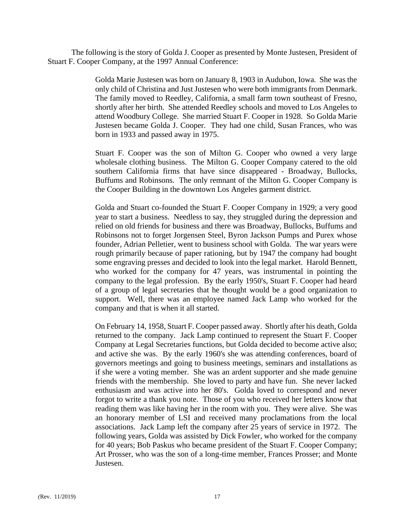The following is the story of Golda J. Cooper as presented by Monte Justesen, President of Stuart F. Cooper Company, at the 1997 Annual Conference:

> Golda Marie Justesen was born on January 8, 1903 in Audubon, Iowa. She was the only child of Christina and Just Justesen who were both immigrants from Denmark. The family moved to Reedley, California, a small farm town southeast of Fresno, shortly after her birth. She attended Reedley schools and moved to Los Angeles to attend Woodbury College. She married Stuart F. Cooper in 1928. So Golda Marie Justesen became Golda J. Cooper. They had one child, Susan Frances, who was born in 1933 and passed away in 1975.

> Stuart F. Cooper was the son of Milton G. Cooper who owned a very large wholesale clothing business. The Milton G. Cooper Company catered to the old southern California firms that have since disappeared - Broadway, Bullocks, Buffums and Robinsons. The only remnant of the Milton G. Cooper Company is the Cooper Building in the downtown Los Angeles garment district.

> Golda and Stuart co-founded the Stuart F. Cooper Company in 1929; a very good year to start a business. Needless to say, they struggled during the depression and relied on old friends for business and there was Broadway, Bullocks, Buffums and Robinsons not to forget Jorgensen Steel, Byron Jackson Pumps and Purex whose founder, Adrian Pelletier, went to business school with Golda. The war years were rough primarily because of paper rationing, but by 1947 the company had bought some engraving presses and decided to look into the legal market. Harold Bennett, who worked for the company for 47 years, was instrumental in pointing the company to the legal profession. By the early 1950's, Stuart F. Cooper had heard of a group of legal secretaries that he thought would be a good organization to support. Well, there was an employee named Jack Lamp who worked for the company and that is when it all started.

> On February 14, 1958, Stuart F. Cooper passed away. Shortly after his death, Golda returned to the company. Jack Lamp continued to represent the Stuart F. Cooper Company at Legal Secretaries functions, but Golda decided to become active also; and active she was. By the early 1960's she was attending conferences, board of governors meetings and going to business meetings, seminars and installations as if she were a voting member. She was an ardent supporter and she made genuine friends with the membership. She loved to party and have fun. She never lacked enthusiasm and was active into her 80's. Golda loved to correspond and never forgot to write a thank you note. Those of you who received her letters know that reading them was like having her in the room with you. They were alive. She was an honorary member of LSI and received many proclamations from the local associations. Jack Lamp left the company after 25 years of service in 1972. The following years, Golda was assisted by Dick Fowler, who worked for the company for 40 years; Bob Paskus who became president of the Stuart F. Cooper Company; Art Prosser, who was the son of a long-time member, Frances Prosser; and Monte Justesen.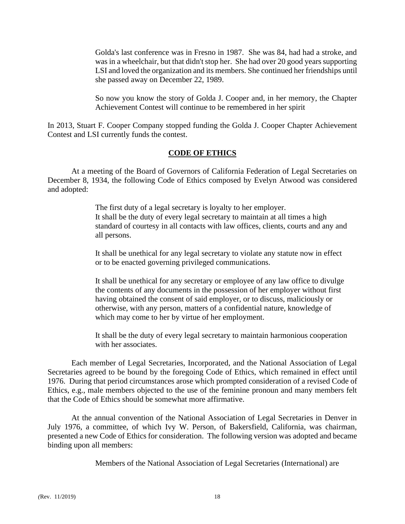Golda's last conference was in Fresno in 1987. She was 84, had had a stroke, and was in a wheelchair, but that didn't stop her. She had over 20 good years supporting LSI and loved the organization and its members. She continued her friendships until she passed away on December 22, 1989.

So now you know the story of Golda J. Cooper and, in her memory, the Chapter Achievement Contest will continue to be remembered in her spirit

In 2013, Stuart F. Cooper Company stopped funding the Golda J. Cooper Chapter Achievement Contest and LSI currently funds the contest.

# **CODE OF ETHICS**

At a meeting of the Board of Governors of California Federation of Legal Secretaries on December 8, 1934, the following Code of Ethics composed by Evelyn Atwood was considered and adopted:

> The first duty of a legal secretary is loyalty to her employer. It shall be the duty of every legal secretary to maintain at all times a high standard of courtesy in all contacts with law offices, clients, courts and any and all persons.

It shall be unethical for any legal secretary to violate any statute now in effect or to be enacted governing privileged communications.

It shall be unethical for any secretary or employee of any law office to divulge the contents of any documents in the possession of her employer without first having obtained the consent of said employer, or to discuss, maliciously or otherwise, with any person, matters of a confidential nature, knowledge of which may come to her by virtue of her employment.

It shall be the duty of every legal secretary to maintain harmonious cooperation with her associates.

Each member of Legal Secretaries, Incorporated, and the National Association of Legal Secretaries agreed to be bound by the foregoing Code of Ethics, which remained in effect until 1976. During that period circumstances arose which prompted consideration of a revised Code of Ethics, e.g., male members objected to the use of the feminine pronoun and many members felt that the Code of Ethics should be somewhat more affirmative.

At the annual convention of the National Association of Legal Secretaries in Denver in July 1976, a committee, of which Ivy W. Person, of Bakersfield, California, was chairman, presented a new Code of Ethics for consideration. The following version was adopted and became binding upon all members:

Members of the National Association of Legal Secretaries (International) are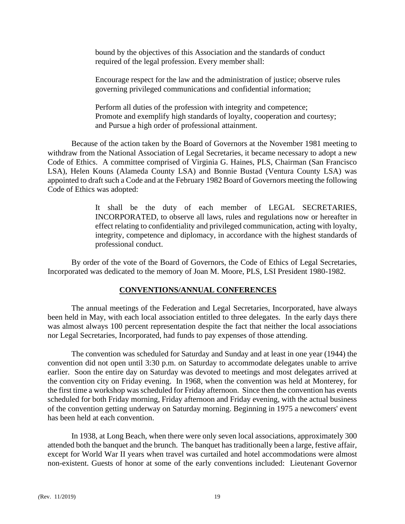bound by the objectives of this Association and the standards of conduct required of the legal profession. Every member shall:

Encourage respect for the law and the administration of justice; observe rules governing privileged communications and confidential information;

Perform all duties of the profession with integrity and competence; Promote and exemplify high standards of loyalty, cooperation and courtesy; and Pursue a high order of professional attainment.

Because of the action taken by the Board of Governors at the November 1981 meeting to withdraw from the National Association of Legal Secretaries, it became necessary to adopt a new Code of Ethics. A committee comprised of Virginia G. Haines, PLS, Chairman (San Francisco LSA), Helen Kouns (Alameda County LSA) and Bonnie Bustad (Ventura County LSA) was appointed to draft such a Code and at the February 1982 Board of Governors meeting the following Code of Ethics was adopted:

> It shall be the duty of each member of LEGAL SECRETARIES, INCORPORATED, to observe all laws, rules and regulations now or hereafter in effect relating to confidentiality and privileged communication, acting with loyalty, integrity, competence and diplomacy, in accordance with the highest standards of professional conduct.

By order of the vote of the Board of Governors, the Code of Ethics of Legal Secretaries, Incorporated was dedicated to the memory of Joan M. Moore, PLS, LSI President 1980-1982.

# **CONVENTIONS/ANNUAL CONFERENCES**

The annual meetings of the Federation and Legal Secretaries, Incorporated, have always been held in May, with each local association entitled to three delegates. In the early days there was almost always 100 percent representation despite the fact that neither the local associations nor Legal Secretaries, Incorporated, had funds to pay expenses of those attending.

The convention was scheduled for Saturday and Sunday and at least in one year (1944) the convention did not open until 3:30 p.m. on Saturday to accommodate delegates unable to arrive earlier. Soon the entire day on Saturday was devoted to meetings and most delegates arrived at the convention city on Friday evening. In 1968, when the convention was held at Monterey, for the first time a workshop was scheduled for Friday afternoon. Since then the convention has events scheduled for both Friday morning, Friday afternoon and Friday evening, with the actual business of the convention getting underway on Saturday morning. Beginning in 1975 a newcomers' event has been held at each convention.

In 1938, at Long Beach, when there were only seven local associations, approximately 300 attended both the banquet and the brunch. The banquet has traditionally been a large, festive affair, except for World War II years when travel was curtailed and hotel accommodations were almost non-existent. Guests of honor at some of the early conventions included: Lieutenant Governor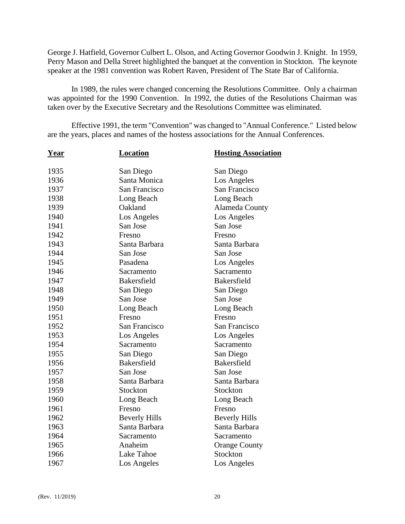George J. Hatfield, Governor Culbert L. Olson, and Acting Governor Goodwin J. Knight. In 1959, Perry Mason and Della Street highlighted the banquet at the convention in Stockton. The keynote speaker at the 1981 convention was Robert Raven, President of The State Bar of California.

In 1989, the rules were changed concerning the Resolutions Committee. Only a chairman was appointed for the 1990 Convention. In 1992, the duties of the Resolutions Chairman was taken over by the Executive Secretary and the Resolutions Committee was eliminated.

Effective 1991, the term "Convention" was changed to "Annual Conference." Listed below are the years, places and names of the hostess associations for the Annual Conferences.

| <u>Year</u> | <b>Location</b>      | <b>Hosting Association</b> |
|-------------|----------------------|----------------------------|
| 1935        | San Diego            | San Diego                  |
| 1936        | Santa Monica         | Los Angeles                |
| 1937        | San Francisco        | San Francisco              |
| 1938        | Long Beach           | Long Beach                 |
| 1939        | Oakland              | Alameda County             |
| 1940        | Los Angeles          | Los Angeles                |
| 1941        | San Jose             | San Jose                   |
| 1942        | Fresno               | Fresno                     |
| 1943        | Santa Barbara        | Santa Barbara              |
| 1944        | San Jose             | San Jose                   |
| 1945        | Pasadena             | Los Angeles                |
| 1946        | Sacramento           | Sacramento                 |
| 1947        | <b>Bakersfield</b>   | <b>Bakersfield</b>         |
| 1948        | San Diego            | San Diego                  |
| 1949        | San Jose             | San Jose                   |
| 1950        | Long Beach           | Long Beach                 |
| 1951        | Fresno               | Fresno                     |
| 1952        | San Francisco        | San Francisco              |
| 1953        | Los Angeles          | Los Angeles                |
| 1954        | Sacramento           | Sacramento                 |
| 1955        | San Diego            | San Diego                  |
| 1956        | <b>Bakersfield</b>   | <b>Bakersfield</b>         |
| 1957        | San Jose             | San Jose                   |
| 1958        | Santa Barbara        | Santa Barbara              |
| 1959        | Stockton             | Stockton                   |
| 1960        | Long Beach           | Long Beach                 |
| 1961        | Fresno               | Fresno                     |
| 1962        | <b>Beverly Hills</b> | <b>Beverly Hills</b>       |
| 1963        | Santa Barbara        | Santa Barbara              |
| 1964        | Sacramento           | Sacramento                 |
| 1965        | Anaheim              | <b>Orange County</b>       |
| 1966        | Lake Tahoe           | Stockton                   |
| 1967        | Los Angeles          | Los Angeles                |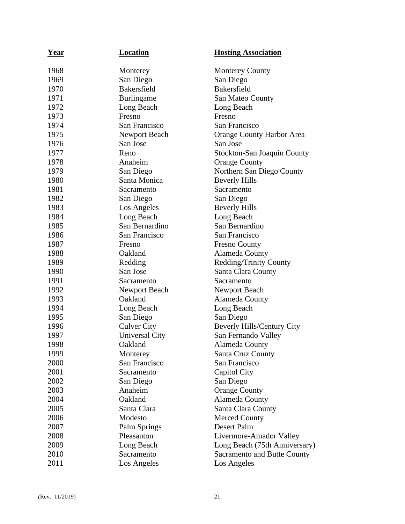| <u>Year</u> | Location              | <b>Hosting Association</b>         |
|-------------|-----------------------|------------------------------------|
| 1968        | Monterey              | <b>Monterey County</b>             |
| 1969        | San Diego             | San Diego                          |
| 1970        | <b>Bakersfield</b>    | <b>Bakersfield</b>                 |
| 1971        | Burlingame            | San Mateo County                   |
| 1972        | Long Beach            | Long Beach                         |
| 1973        | Fresno                | Fresno                             |
| 1974        | San Francisco         | San Francisco                      |
| 1975        | Newport Beach         | Orange County Harbor Area          |
| 1976        | San Jose              | San Jose                           |
| 1977        | Reno                  | <b>Stockton-San Joaquin County</b> |
| 1978        | Anaheim               | <b>Orange County</b>               |
| 1979        | San Diego             | Northern San Diego County          |
| 1980        | Santa Monica          | <b>Beverly Hills</b>               |
| 1981        | Sacramento            | Sacramento                         |
| 1982        | San Diego             | San Diego                          |
| 1983        | Los Angeles           | <b>Beverly Hills</b>               |
| 1984        | Long Beach            | Long Beach                         |
| 1985        | San Bernardino        | San Bernardino                     |
| 1986        | San Francisco         | San Francisco                      |
| 1987        | Fresno                | <b>Fresno County</b>               |
| 1988        | Oakland               | Alameda County                     |
| 1989        | Redding               | <b>Redding/Trinity County</b>      |
| 1990        | San Jose              | Santa Clara County                 |
| 1991        | Sacramento            | Sacramento                         |
| 1992        | Newport Beach         | Newport Beach                      |
| 1993        | Oakland               | Alameda County                     |
| 1994        | Long Beach            | Long Beach                         |
| 1995        | San Diego             | San Diego                          |
| 1996        | <b>Culver City</b>    | Beverly Hills/Century City         |
| 1997        | <b>Universal City</b> | San Fernando Valley                |
| 1998        | Oakland               | Alameda County                     |
| 1999        | Monterey              | Santa Cruz County                  |
| 2000        | San Francisco         | San Francisco                      |
| 2001        | Sacramento            | Capitol City                       |
| 2002        | San Diego             | San Diego                          |
| 2003        | Anaheim               | <b>Orange County</b>               |
| 2004        | Oakland               | Alameda County                     |
| 2005        | Santa Clara           | Santa Clara County                 |
| 2006        | Modesto               | <b>Merced County</b>               |
| 2007        | Palm Springs          | Desert Palm                        |
| 2008        | Pleasanton            | Livermore-Amador Valley            |
| 2009        | Long Beach            | Long Beach (75th Anniversary)      |
| 2010        | Sacramento            | <b>Sacramento and Butte County</b> |
| 2011        | Los Angeles           | Los Angeles                        |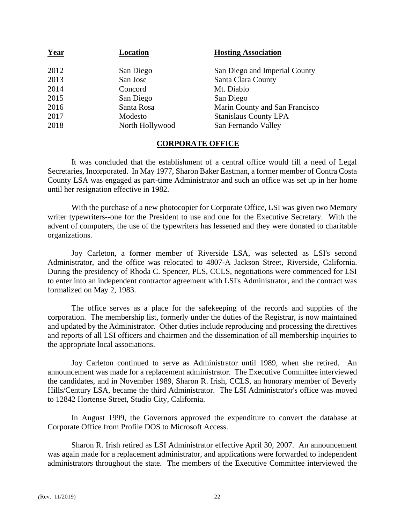| Year | Location        | <b>Hosting Association</b>     |
|------|-----------------|--------------------------------|
| 2012 | San Diego       | San Diego and Imperial County  |
| 2013 | San Jose        | Santa Clara County             |
| 2014 | Concord         | Mt. Diablo                     |
| 2015 | San Diego       | San Diego                      |
| 2016 | Santa Rosa      | Marin County and San Francisco |
| 2017 | Modesto         | <b>Stanislaus County LPA</b>   |
| 2018 | North Hollywood | San Fernando Valley            |
|      |                 |                                |

# **CORPORATE OFFICE**

It was concluded that the establishment of a central office would fill a need of Legal Secretaries, Incorporated. In May 1977, Sharon Baker Eastman, a former member of Contra Costa County LSA was engaged as part-time Administrator and such an office was set up in her home until her resignation effective in 1982.

With the purchase of a new photocopier for Corporate Office, LSI was given two Memory writer typewriters--one for the President to use and one for the Executive Secretary. With the advent of computers, the use of the typewriters has lessened and they were donated to charitable organizations.

Joy Carleton, a former member of Riverside LSA, was selected as LSI's second Administrator, and the office was relocated to 4807-A Jackson Street, Riverside, California. During the presidency of Rhoda C. Spencer, PLS, CCLS, negotiations were commenced for LSI to enter into an independent contractor agreement with LSI's Administrator, and the contract was formalized on May 2, 1983.

The office serves as a place for the safekeeping of the records and supplies of the corporation. The membership list, formerly under the duties of the Registrar, is now maintained and updated by the Administrator. Other duties include reproducing and processing the directives and reports of all LSI officers and chairmen and the dissemination of all membership inquiries to the appropriate local associations.

Joy Carleton continued to serve as Administrator until 1989, when she retired. An announcement was made for a replacement administrator. The Executive Committee interviewed the candidates, and in November 1989, Sharon R. Irish, CCLS, an honorary member of Beverly Hills/Century LSA, became the third Administrator. The LSI Administrator's office was moved to 12842 Hortense Street, Studio City, California.

In August 1999, the Governors approved the expenditure to convert the database at Corporate Office from Profile DOS to Microsoft Access.

Sharon R. Irish retired as LSI Administrator effective April 30, 2007. An announcement was again made for a replacement administrator, and applications were forwarded to independent administrators throughout the state. The members of the Executive Committee interviewed the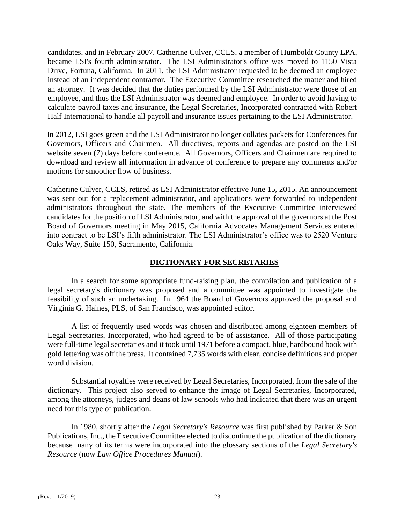candidates, and in February 2007, Catherine Culver, CCLS, a member of Humboldt County LPA, became LSI's fourth administrator. The LSI Administrator's office was moved to 1150 Vista Drive, Fortuna, California. In 2011, the LSI Administrator requested to be deemed an employee instead of an independent contractor. The Executive Committee researched the matter and hired an attorney. It was decided that the duties performed by the LSI Administrator were those of an employee, and thus the LSI Administrator was deemed and employee. In order to avoid having to calculate payroll taxes and insurance, the Legal Secretaries, Incorporated contracted with Robert Half International to handle all payroll and insurance issues pertaining to the LSI Administrator.

In 2012, LSI goes green and the LSI Administrator no longer collates packets for Conferences for Governors, Officers and Chairmen. All directives, reports and agendas are posted on the LSI website seven (7) days before conference. All Governors, Officers and Chairmen are required to download and review all information in advance of conference to prepare any comments and/or motions for smoother flow of business.

Catherine Culver, CCLS, retired as LSI Administrator effective June 15, 2015. An announcement was sent out for a replacement administrator, and applications were forwarded to independent administrators throughout the state. The members of the Executive Committee interviewed candidates for the position of LSI Administrator, and with the approval of the governors at the Post Board of Governors meeting in May 2015, California Advocates Management Services entered into contract to be LSI's fifth administrator. The LSI Administrator's office was to 2520 Venture Oaks Way, Suite 150, Sacramento, California.

# **DICTIONARY FOR SECRETARIES**

In a search for some appropriate fund-raising plan, the compilation and publication of a legal secretary's dictionary was proposed and a committee was appointed to investigate the feasibility of such an undertaking. In 1964 the Board of Governors approved the proposal and Virginia G. Haines, PLS, of San Francisco, was appointed editor.

A list of frequently used words was chosen and distributed among eighteen members of Legal Secretaries, Incorporated, who had agreed to be of assistance. All of those participating were full-time legal secretaries and it took until 1971 before a compact, blue, hardbound book with gold lettering was off the press. It contained 7,735 words with clear, concise definitions and proper word division.

Substantial royalties were received by Legal Secretaries, Incorporated, from the sale of the dictionary. This project also served to enhance the image of Legal Secretaries, Incorporated, among the attorneys, judges and deans of law schools who had indicated that there was an urgent need for this type of publication.

In 1980, shortly after the *Legal Secretary's Resource* was first published by Parker & Son Publications, Inc., the Executive Committee elected to discontinue the publication of the dictionary because many of its terms were incorporated into the glossary sections of the *Legal Secretary's Resource* (now *Law Office Procedures Manual*).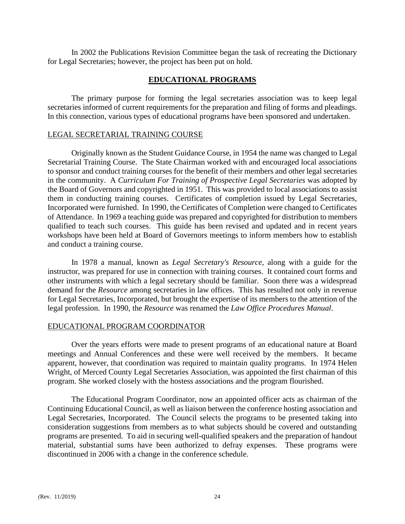In 2002 the Publications Revision Committee began the task of recreating the Dictionary for Legal Secretaries; however, the project has been put on hold.

# **EDUCATIONAL PROGRAMS**

The primary purpose for forming the legal secretaries association was to keep legal secretaries informed of current requirements for the preparation and filing of forms and pleadings. In this connection, various types of educational programs have been sponsored and undertaken.

# LEGAL SECRETARIAL TRAINING COURSE

Originally known as the Student Guidance Course, in 1954 the name was changed to Legal Secretarial Training Course. The State Chairman worked with and encouraged local associations to sponsor and conduct training courses for the benefit of their members and other legal secretaries in the community. A *Curriculum For Training of Prospective Legal Secretaries* was adopted by the Board of Governors and copyrighted in 1951. This was provided to local associations to assist them in conducting training courses. Certificates of completion issued by Legal Secretaries, Incorporated were furnished. In 1990, the Certificates of Completion were changed to Certificates of Attendance. In 1969 a teaching guide was prepared and copyrighted for distribution to members qualified to teach such courses. This guide has been revised and updated and in recent years workshops have been held at Board of Governors meetings to inform members how to establish and conduct a training course.

In 1978 a manual, known as *Legal Secretary's Resource*, along with a guide for the instructor, was prepared for use in connection with training courses. It contained court forms and other instruments with which a legal secretary should be familiar. Soon there was a widespread demand for the *Resource* among secretaries in law offices. This has resulted not only in revenue for Legal Secretaries, Incorporated, but brought the expertise of its members to the attention of the legal profession. In 1990, the *Resource* was renamed the *Law Office Procedures Manual*.

# EDUCATIONAL PROGRAM COORDINATOR

Over the years efforts were made to present programs of an educational nature at Board meetings and Annual Conferences and these were well received by the members. It became apparent, however, that coordination was required to maintain quality programs. In 1974 Helen Wright, of Merced County Legal Secretaries Association, was appointed the first chairman of this program. She worked closely with the hostess associations and the program flourished.

The Educational Program Coordinator, now an appointed officer acts as chairman of the Continuing Educational Council, as well as liaison between the conference hosting association and Legal Secretaries, Incorporated. The Council selects the programs to be presented taking into consideration suggestions from members as to what subjects should be covered and outstanding programs are presented. To aid in securing well-qualified speakers and the preparation of handout material, substantial sums have been authorized to defray expenses. These programs were discontinued in 2006 with a change in the conference schedule.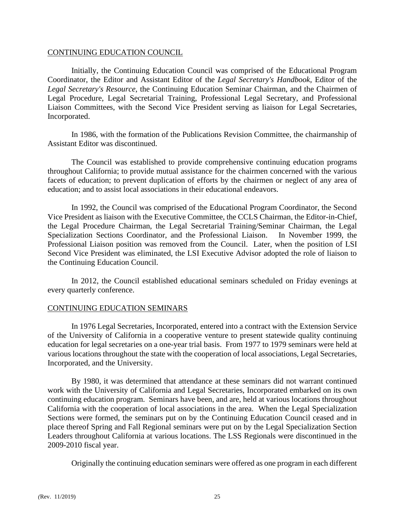# CONTINUING EDUCATION COUNCIL

Initially, the Continuing Education Council was comprised of the Educational Program Coordinator, the Editor and Assistant Editor of the *Legal Secretary's Handbook*, Editor of the *Legal Secretary's Resource*, the Continuing Education Seminar Chairman, and the Chairmen of Legal Procedure, Legal Secretarial Training, Professional Legal Secretary, and Professional Liaison Committees, with the Second Vice President serving as liaison for Legal Secretaries, Incorporated.

In 1986, with the formation of the Publications Revision Committee, the chairmanship of Assistant Editor was discontinued.

The Council was established to provide comprehensive continuing education programs throughout California; to provide mutual assistance for the chairmen concerned with the various facets of education; to prevent duplication of efforts by the chairmen or neglect of any area of education; and to assist local associations in their educational endeavors.

In 1992, the Council was comprised of the Educational Program Coordinator, the Second Vice President as liaison with the Executive Committee, the CCLS Chairman, the Editor-in-Chief, the Legal Procedure Chairman, the Legal Secretarial Training/Seminar Chairman, the Legal Specialization Sections Coordinator, and the Professional Liaison. In November 1999, the Professional Liaison position was removed from the Council. Later, when the position of LSI Second Vice President was eliminated, the LSI Executive Advisor adopted the role of liaison to the Continuing Education Council.

In 2012, the Council established educational seminars scheduled on Friday evenings at every quarterly conference.

# CONTINUING EDUCATION SEMINARS

In 1976 Legal Secretaries, Incorporated, entered into a contract with the Extension Service of the University of California in a cooperative venture to present statewide quality continuing education for legal secretaries on a one-year trial basis. From 1977 to 1979 seminars were held at various locations throughout the state with the cooperation of local associations, Legal Secretaries, Incorporated, and the University.

By 1980, it was determined that attendance at these seminars did not warrant continued work with the University of California and Legal Secretaries, Incorporated embarked on its own continuing education program. Seminars have been, and are, held at various locations throughout California with the cooperation of local associations in the area. When the Legal Specialization Sections were formed, the seminars put on by the Continuing Education Council ceased and in place thereof Spring and Fall Regional seminars were put on by the Legal Specialization Section Leaders throughout California at various locations. The LSS Regionals were discontinued in the 2009-2010 fiscal year.

Originally the continuing education seminars were offered as one program in each different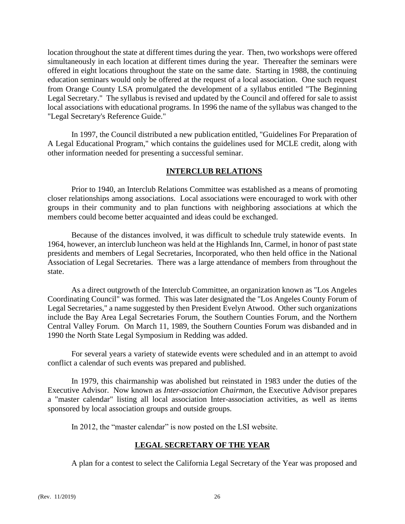location throughout the state at different times during the year. Then, two workshops were offered simultaneously in each location at different times during the year. Thereafter the seminars were offered in eight locations throughout the state on the same date. Starting in 1988, the continuing education seminars would only be offered at the request of a local association. One such request from Orange County LSA promulgated the development of a syllabus entitled "The Beginning Legal Secretary." The syllabus is revised and updated by the Council and offered for sale to assist local associations with educational programs. In 1996 the name of the syllabus was changed to the "Legal Secretary's Reference Guide."

In 1997, the Council distributed a new publication entitled, "Guidelines For Preparation of A Legal Educational Program," which contains the guidelines used for MCLE credit, along with other information needed for presenting a successful seminar.

# **INTERCLUB RELATIONS**

Prior to 1940, an Interclub Relations Committee was established as a means of promoting closer relationships among associations. Local associations were encouraged to work with other groups in their community and to plan functions with neighboring associations at which the members could become better acquainted and ideas could be exchanged.

Because of the distances involved, it was difficult to schedule truly statewide events. In 1964, however, an interclub luncheon was held at the Highlands Inn, Carmel, in honor of past state presidents and members of Legal Secretaries, Incorporated, who then held office in the National Association of Legal Secretaries. There was a large attendance of members from throughout the state.

As a direct outgrowth of the Interclub Committee, an organization known as "Los Angeles Coordinating Council" was formed. This was later designated the "Los Angeles County Forum of Legal Secretaries," a name suggested by then President Evelyn Atwood. Other such organizations include the Bay Area Legal Secretaries Forum, the Southern Counties Forum, and the Northern Central Valley Forum. On March 11, 1989, the Southern Counties Forum was disbanded and in 1990 the North State Legal Symposium in Redding was added.

For several years a variety of statewide events were scheduled and in an attempt to avoid conflict a calendar of such events was prepared and published.

In 1979, this chairmanship was abolished but reinstated in 1983 under the duties of the Executive Advisor. Now known as *Inter-association Chairman*, the Executive Advisor prepares a "master calendar" listing all local association Inter-association activities, as well as items sponsored by local association groups and outside groups.

In 2012, the "master calendar" is now posted on the LSI website.

# **LEGAL SECRETARY OF THE YEAR**

A plan for a contest to select the California Legal Secretary of the Year was proposed and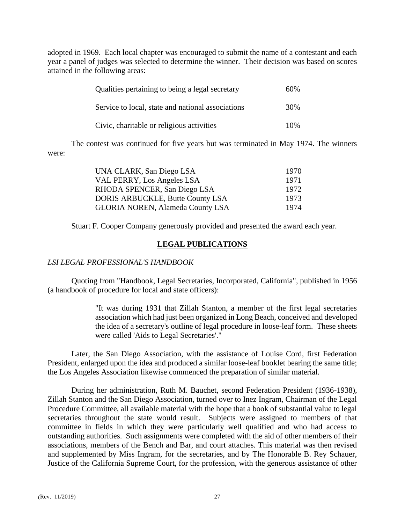adopted in 1969. Each local chapter was encouraged to submit the name of a contestant and each year a panel of judges was selected to determine the winner. Their decision was based on scores attained in the following areas:

| Qualities pertaining to being a legal secretary   | 60% |
|---------------------------------------------------|-----|
| Service to local, state and national associations | 30% |
| Civic, charitable or religious activities         | 10% |

The contest was continued for five years but was terminated in May 1974. The winners were:

| UNA CLARK, San Diego LSA                | 1970 |
|-----------------------------------------|------|
| VAL PERRY, Los Angeles LSA              | 1971 |
| RHODA SPENCER, San Diego LSA            | 1972 |
| DORIS ARBUCKLE, Butte County LSA        | 1973 |
| <b>GLORIA NOREN, Alameda County LSA</b> | 1974 |

Stuart F. Cooper Company generously provided and presented the award each year.

# **LEGAL PUBLICATIONS**

# *LSI LEGAL PROFESSIONAL'S HANDBOOK*

Quoting from "Handbook, Legal Secretaries, Incorporated, California", published in 1956 (a handbook of procedure for local and state officers):

> "It was during 1931 that Zillah Stanton, a member of the first legal secretaries association which had just been organized in Long Beach, conceived and developed the idea of a secretary's outline of legal procedure in loose-leaf form. These sheets were called 'Aids to Legal Secretaries'."

Later, the San Diego Association, with the assistance of Louise Cord, first Federation President, enlarged upon the idea and produced a similar loose-leaf booklet bearing the same title; the Los Angeles Association likewise commenced the preparation of similar material.

During her administration, Ruth M. Bauchet, second Federation President (1936-1938), Zillah Stanton and the San Diego Association, turned over to Inez Ingram, Chairman of the Legal Procedure Committee, all available material with the hope that a book of substantial value to legal secretaries throughout the state would result. Subjects were assigned to members of that committee in fields in which they were particularly well qualified and who had access to outstanding authorities. Such assignments were completed with the aid of other members of their associations, members of the Bench and Bar, and court attaches. This material was then revised and supplemented by Miss Ingram, for the secretaries, and by The Honorable B. Rey Schauer, Justice of the California Supreme Court, for the profession, with the generous assistance of other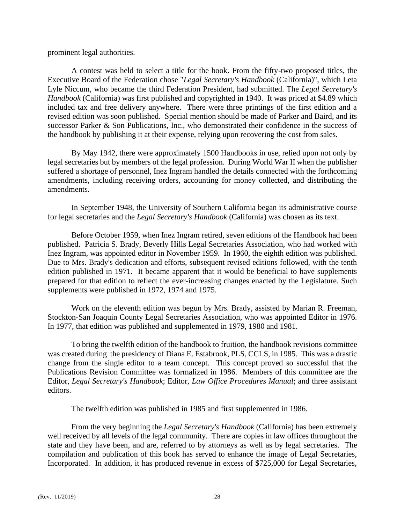prominent legal authorities.

A contest was held to select a title for the book. From the fifty-two proposed titles, the Executive Board of the Federation chose "*Legal Secretary's Handbook* (California)", which Leta Lyle Niccum, who became the third Federation President, had submitted. The *Legal Secretary's Handbook* (California) was first published and copyrighted in 1940. It was priced at \$4.89 which included tax and free delivery anywhere. There were three printings of the first edition and a revised edition was soon published. Special mention should be made of Parker and Baird, and its successor Parker & Son Publications, Inc., who demonstrated their confidence in the success of the handbook by publishing it at their expense, relying upon recovering the cost from sales.

By May 1942, there were approximately 1500 Handbooks in use, relied upon not only by legal secretaries but by members of the legal profession. During World War II when the publisher suffered a shortage of personnel, Inez Ingram handled the details connected with the forthcoming amendments, including receiving orders, accounting for money collected, and distributing the amendments.

In September 1948, the University of Southern California began its administrative course for legal secretaries and the *Legal Secretary's Handbook* (California) was chosen as its text.

Before October 1959, when Inez Ingram retired, seven editions of the Handbook had been published. Patricia S. Brady, Beverly Hills Legal Secretaries Association, who had worked with Inez Ingram, was appointed editor in November 1959. In 1960, the eighth edition was published. Due to Mrs. Brady's dedication and efforts, subsequent revised editions followed, with the tenth edition published in 1971. It became apparent that it would be beneficial to have supplements prepared for that edition to reflect the ever-increasing changes enacted by the Legislature. Such supplements were published in 1972, 1974 and 1975.

Work on the eleventh edition was begun by Mrs. Brady, assisted by Marian R. Freeman, Stockton-San Joaquin County Legal Secretaries Association, who was appointed Editor in 1976. In 1977, that edition was published and supplemented in 1979, 1980 and 1981.

To bring the twelfth edition of the handbook to fruition, the handbook revisions committee was created during the presidency of Diana E. Estabrook, PLS, CCLS, in 1985. This was a drastic change from the single editor to a team concept. This concept proved so successful that the Publications Revision Committee was formalized in 1986. Members of this committee are the Editor, *Legal Secretary's Handbook*; Editor, *Law Office Procedures Manual*; and three assistant editors.

The twelfth edition was published in 1985 and first supplemented in 1986.

From the very beginning the *Legal Secretary's Handbook* (California) has been extremely well received by all levels of the legal community. There are copies in law offices throughout the state and they have been, and are, referred to by attorneys as well as by legal secretaries. The compilation and publication of this book has served to enhance the image of Legal Secretaries, Incorporated. In addition, it has produced revenue in excess of \$725,000 for Legal Secretaries,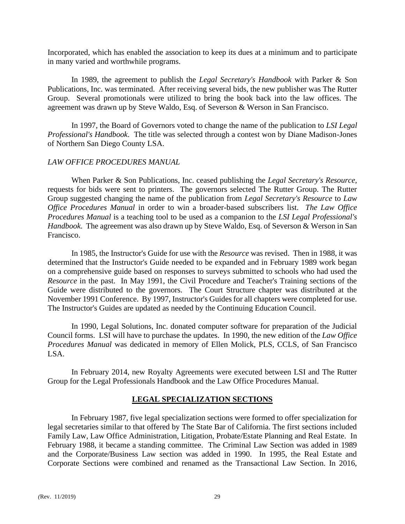Incorporated, which has enabled the association to keep its dues at a minimum and to participate in many varied and worthwhile programs.

In 1989, the agreement to publish the *Legal Secretary's Handbook* with Parker & Son Publications, Inc. was terminated. After receiving several bids, the new publisher was The Rutter Group. Several promotionals were utilized to bring the book back into the law offices. The agreement was drawn up by Steve Waldo, Esq. of Severson & Werson in San Francisco.

In 1997, the Board of Governors voted to change the name of the publication to *LSI Legal Professional's Handbook*. The title was selected through a contest won by Diane Madison-Jones of Northern San Diego County LSA.

# *LAW OFFICE PROCEDURES MANUAL*

When Parker & Son Publications, Inc. ceased publishing the *Legal Secretary's Resource*, requests for bids were sent to printers. The governors selected The Rutter Group. The Rutter Group suggested changing the name of the publication from *Legal Secretary's Resource* to *Law Office Procedures Manual* in order to win a broader-based subscribers list. *The Law Office Procedures Manual* is a teaching tool to be used as a companion to the *LSI Legal Professional's Handbook*. The agreement was also drawn up by Steve Waldo, Esq. of Severson & Werson in San Francisco.

In 1985, the Instructor's Guide for use with the *Resource* was revised. Then in 1988, it was determined that the Instructor's Guide needed to be expanded and in February 1989 work began on a comprehensive guide based on responses to surveys submitted to schools who had used the *Resource* in the past. In May 1991, the Civil Procedure and Teacher's Training sections of the Guide were distributed to the governors. The Court Structure chapter was distributed at the November 1991 Conference. By 1997, Instructor's Guides for all chapters were completed for use. The Instructor's Guides are updated as needed by the Continuing Education Council.

In 1990, Legal Solutions, Inc. donated computer software for preparation of the Judicial Council forms. LSI will have to purchase the updates. In 1990, the new edition of the *Law Office Procedures Manual* was dedicated in memory of Ellen Molick, PLS, CCLS, of San Francisco LSA.

In February 2014, new Royalty Agreements were executed between LSI and The Rutter Group for the Legal Professionals Handbook and the Law Office Procedures Manual.

# **LEGAL SPECIALIZATION SECTIONS**

In February 1987, five legal specialization sections were formed to offer specialization for legal secretaries similar to that offered by The State Bar of California. The first sections included Family Law, Law Office Administration, Litigation, Probate/Estate Planning and Real Estate. In February 1988, it became a standing committee. The Criminal Law Section was added in 1989 and the Corporate/Business Law section was added in 1990. In 1995, the Real Estate and Corporate Sections were combined and renamed as the Transactional Law Section. In 2016,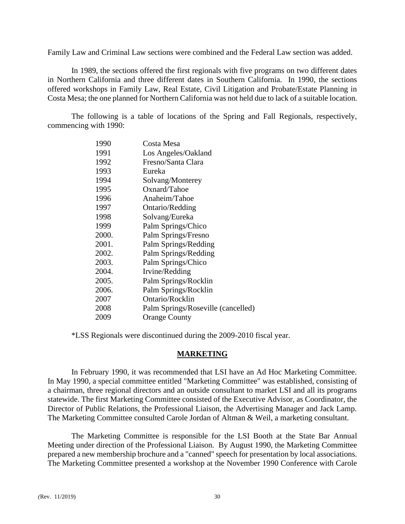Family Law and Criminal Law sections were combined and the Federal Law section was added.

In 1989, the sections offered the first regionals with five programs on two different dates in Northern California and three different dates in Southern California. In 1990, the sections offered workshops in Family Law, Real Estate, Civil Litigation and Probate/Estate Planning in Costa Mesa; the one planned for Northern California was not held due to lack of a suitable location.

The following is a table of locations of the Spring and Fall Regionals, respectively, commencing with 1990:

| 1990  | Costa Mesa                         |
|-------|------------------------------------|
| 1991  | Los Angeles/Oakland                |
| 1992  | Fresno/Santa Clara                 |
| 1993  | Eureka                             |
| 1994  | Solvang/Monterey                   |
| 1995  | Oxnard/Tahoe                       |
| 1996  | Anaheim/Tahoe                      |
| 1997  | Ontario/Redding                    |
| 1998  | Solvang/Eureka                     |
| 1999  | Palm Springs/Chico                 |
| 2000. | Palm Springs/Fresno                |
| 2001. | Palm Springs/Redding               |
| 2002. | Palm Springs/Redding               |
| 2003. | Palm Springs/Chico                 |
| 2004. | Irvine/Redding                     |
| 2005. | Palm Springs/Rocklin               |
| 2006. | Palm Springs/Rocklin               |
| 2007  | Ontario/Rocklin                    |
| 2008  | Palm Springs/Roseville (cancelled) |
| 2009  | <b>Orange County</b>               |

\*LSS Regionals were discontinued during the 2009-2010 fiscal year.

### **MARKETING**

In February 1990, it was recommended that LSI have an Ad Hoc Marketing Committee. In May 1990, a special committee entitled "Marketing Committee" was established, consisting of a chairman, three regional directors and an outside consultant to market LSI and all its programs statewide. The first Marketing Committee consisted of the Executive Advisor, as Coordinator, the Director of Public Relations, the Professional Liaison, the Advertising Manager and Jack Lamp. The Marketing Committee consulted Carole Jordan of Altman & Weil, a marketing consultant.

The Marketing Committee is responsible for the LSI Booth at the State Bar Annual Meeting under direction of the Professional Liaison. By August 1990, the Marketing Committee prepared a new membership brochure and a "canned" speech for presentation by local associations. The Marketing Committee presented a workshop at the November 1990 Conference with Carole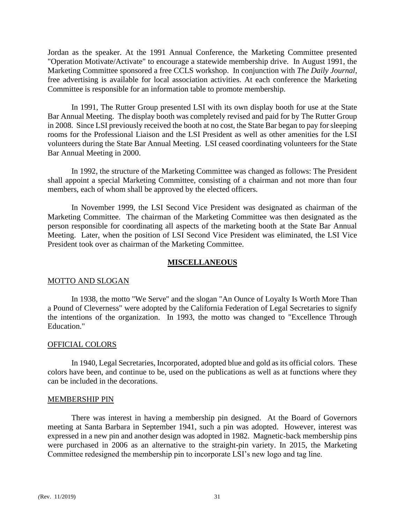Jordan as the speaker. At the 1991 Annual Conference, the Marketing Committee presented "Operation Motivate/Activate" to encourage a statewide membership drive. In August 1991, the Marketing Committee sponsored a free CCLS workshop. In conjunction with *The Daily Journal*, free advertising is available for local association activities. At each conference the Marketing Committee is responsible for an information table to promote membership.

In 1991, The Rutter Group presented LSI with its own display booth for use at the State Bar Annual Meeting. The display booth was completely revised and paid for by The Rutter Group in 2008. Since LSI previously received the booth at no cost, the State Bar began to pay for sleeping rooms for the Professional Liaison and the LSI President as well as other amenities for the LSI volunteers during the State Bar Annual Meeting. LSI ceased coordinating volunteers for the State Bar Annual Meeting in 2000.

In 1992, the structure of the Marketing Committee was changed as follows: The President shall appoint a special Marketing Committee, consisting of a chairman and not more than four members, each of whom shall be approved by the elected officers.

In November 1999, the LSI Second Vice President was designated as chairman of the Marketing Committee. The chairman of the Marketing Committee was then designated as the person responsible for coordinating all aspects of the marketing booth at the State Bar Annual Meeting. Later, when the position of LSI Second Vice President was eliminated, the LSI Vice President took over as chairman of the Marketing Committee.

# **MISCELLANEOUS**

#### MOTTO AND SLOGAN

In 1938, the motto "We Serve" and the slogan "An Ounce of Loyalty Is Worth More Than a Pound of Cleverness" were adopted by the California Federation of Legal Secretaries to signify the intentions of the organization. In 1993, the motto was changed to "Excellence Through Education."

#### OFFICIAL COLORS

In 1940, Legal Secretaries, Incorporated, adopted blue and gold as its official colors. These colors have been, and continue to be, used on the publications as well as at functions where they can be included in the decorations.

#### MEMBERSHIP PIN

There was interest in having a membership pin designed. At the Board of Governors meeting at Santa Barbara in September 1941, such a pin was adopted. However, interest was expressed in a new pin and another design was adopted in 1982. Magnetic-back membership pins were purchased in 2006 as an alternative to the straight-pin variety. In 2015, the Marketing Committee redesigned the membership pin to incorporate LSI's new logo and tag line.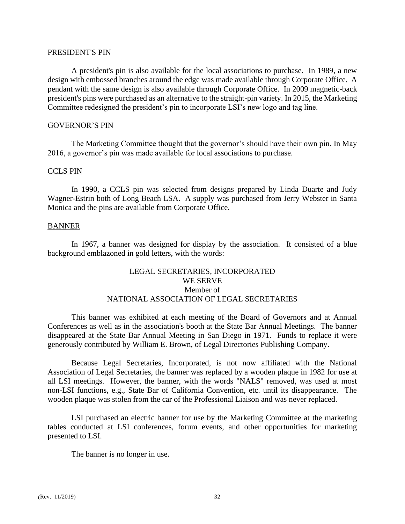#### PRESIDENT'S PIN

A president's pin is also available for the local associations to purchase. In 1989, a new design with embossed branches around the edge was made available through Corporate Office. A pendant with the same design is also available through Corporate Office. In 2009 magnetic-back president's pins were purchased as an alternative to the straight-pin variety. In 2015, the Marketing Committee redesigned the president's pin to incorporate LSI's new logo and tag line.

## GOVERNOR'S PIN

The Marketing Committee thought that the governor's should have their own pin. In May 2016, a governor's pin was made available for local associations to purchase.

#### CCLS PIN

In 1990, a CCLS pin was selected from designs prepared by Linda Duarte and Judy Wagner-Estrin both of Long Beach LSA. A supply was purchased from Jerry Webster in Santa Monica and the pins are available from Corporate Office.

#### BANNER

In 1967, a banner was designed for display by the association. It consisted of a blue background emblazoned in gold letters, with the words:

# LEGAL SECRETARIES, INCORPORATED WE SERVE Member of NATIONAL ASSOCIATION OF LEGAL SECRETARIES

 This banner was exhibited at each meeting of the Board of Governors and at Annual Conferences as well as in the association's booth at the State Bar Annual Meetings. The banner disappeared at the State Bar Annual Meeting in San Diego in 1971. Funds to replace it were generously contributed by William E. Brown, of Legal Directories Publishing Company.

Because Legal Secretaries, Incorporated, is not now affiliated with the National Association of Legal Secretaries, the banner was replaced by a wooden plaque in 1982 for use at all LSI meetings. However, the banner, with the words "NALS" removed, was used at most non-LSI functions, e.g., State Bar of California Convention, etc. until its disappearance. The wooden plaque was stolen from the car of the Professional Liaison and was never replaced.

LSI purchased an electric banner for use by the Marketing Committee at the marketing tables conducted at LSI conferences, forum events, and other opportunities for marketing presented to LSI.

The banner is no longer in use.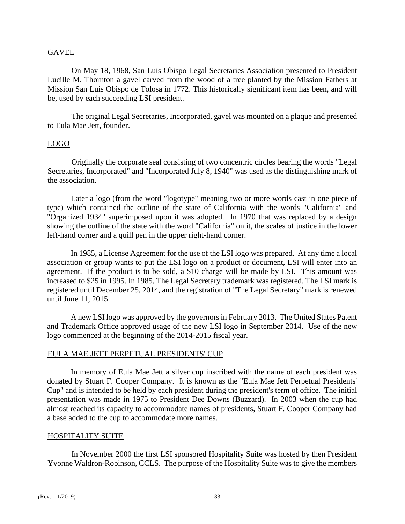## GAVEL

On May 18, 1968, San Luis Obispo Legal Secretaries Association presented to President Lucille M. Thornton a gavel carved from the wood of a tree planted by the Mission Fathers at Mission San Luis Obispo de Tolosa in 1772. This historically significant item has been, and will be, used by each succeeding LSI president.

The original Legal Secretaries, Incorporated, gavel was mounted on a plaque and presented to Eula Mae Jett, founder.

# LOGO

Originally the corporate seal consisting of two concentric circles bearing the words "Legal Secretaries, Incorporated" and "Incorporated July 8, 1940" was used as the distinguishing mark of the association.

Later a logo (from the word "logotype" meaning two or more words cast in one piece of type) which contained the outline of the state of California with the words "California" and "Organized 1934" superimposed upon it was adopted. In 1970 that was replaced by a design showing the outline of the state with the word "California" on it, the scales of justice in the lower left-hand corner and a quill pen in the upper right-hand corner.

In 1985, a License Agreement for the use of the LSI logo was prepared. At any time a local association or group wants to put the LSI logo on a product or document, LSI will enter into an agreement. If the product is to be sold, a \$10 charge will be made by LSI. This amount was increased to \$25 in 1995. In 1985, The Legal Secretary trademark was registered. The LSI mark is registered until December 25, 2014, and the registration of "The Legal Secretary" mark is renewed until June 11, 2015.

A new LSI logo was approved by the governors in February 2013. The United States Patent and Trademark Office approved usage of the new LSI logo in September 2014. Use of the new logo commenced at the beginning of the 2014-2015 fiscal year.

## EULA MAE JETT PERPETUAL PRESIDENTS' CUP

In memory of Eula Mae Jett a silver cup inscribed with the name of each president was donated by Stuart F. Cooper Company. It is known as the "Eula Mae Jett Perpetual Presidents' Cup" and is intended to be held by each president during the president's term of office. The initial presentation was made in 1975 to President Dee Downs (Buzzard). In 2003 when the cup had almost reached its capacity to accommodate names of presidents, Stuart F. Cooper Company had a base added to the cup to accommodate more names.

## HOSPITALITY SUITE

In November 2000 the first LSI sponsored Hospitality Suite was hosted by then President Yvonne Waldron-Robinson, CCLS. The purpose of the Hospitality Suite was to give the members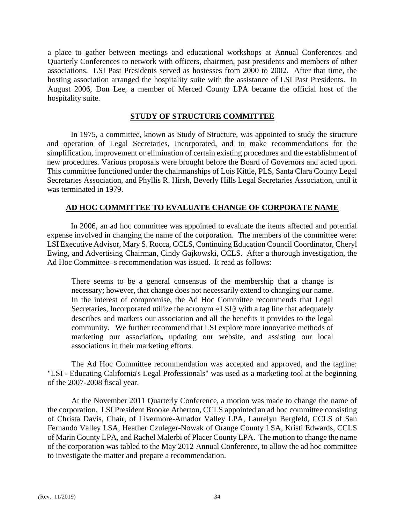a place to gather between meetings and educational workshops at Annual Conferences and Quarterly Conferences to network with officers, chairmen, past presidents and members of other associations. LSI Past Presidents served as hostesses from 2000 to 2002. After that time, the hosting association arranged the hospitality suite with the assistance of LSI Past Presidents. In August 2006, Don Lee, a member of Merced County LPA became the official host of the hospitality suite.

# **STUDY OF STRUCTURE COMMITTEE**

In 1975, a committee, known as Study of Structure, was appointed to study the structure and operation of Legal Secretaries, Incorporated, and to make recommendations for the simplification, improvement or elimination of certain existing procedures and the establishment of new procedures. Various proposals were brought before the Board of Governors and acted upon. This committee functioned under the chairmanships of Lois Kittle, PLS, Santa Clara County Legal Secretaries Association, and Phyllis R. Hirsh, Beverly Hills Legal Secretaries Association, until it was terminated in 1979.

# **AD HOC COMMITTEE TO EVALUATE CHANGE OF CORPORATE NAME**

In 2006, an ad hoc committee was appointed to evaluate the items affected and potential expense involved in changing the name of the corporation. The members of the committee were: LSI Executive Advisor, Mary S. Rocca, CCLS, Continuing Education Council Coordinator, Cheryl Ewing, and Advertising Chairman, Cindy Gajkowski, CCLS. After a thorough investigation, the Ad Hoc Committee=s recommendation was issued. It read as follows:

There seems to be a general consensus of the membership that a change is necessary; however, that change does not necessarily extend to changing our name. In the interest of compromise, the Ad Hoc Committee recommends that Legal Secretaries, Incorporated utilize the acronym ALSI@ with a tag line that adequately describes and markets our association and all the benefits it provides to the legal community.We further recommend that LSI explore more innovative methods of marketing our association**,** updating our website, and assisting our local associations in their marketing efforts.

The Ad Hoc Committee recommendation was accepted and approved, and the tagline: "LSI - Educating California's Legal Professionals" was used as a marketing tool at the beginning of the 2007-2008 fiscal year.

At the November 2011 Quarterly Conference, a motion was made to change the name of the corporation. LSI President Brooke Atherton, CCLS appointed an ad hoc committee consisting of Christa Davis, Chair, of Livermore-Amador Valley LPA, Laurelyn Bergfeld, CCLS of San Fernando Valley LSA, Heather Czuleger-Nowak of Orange County LSA, Kristi Edwards, CCLS of Marin County LPA, and Rachel Malerbi of Placer County LPA. The motion to change the name of the corporation was tabled to the May 2012 Annual Conference, to allow the ad hoc committee to investigate the matter and prepare a recommendation.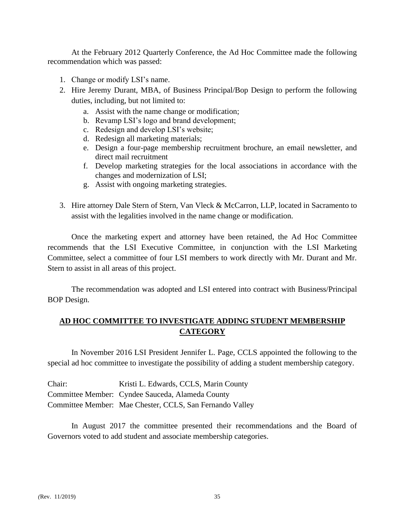At the February 2012 Quarterly Conference, the Ad Hoc Committee made the following recommendation which was passed:

- 1. Change or modify LSI's name.
- 2. Hire Jeremy Durant, MBA, of Business Principal/Bop Design to perform the following duties, including, but not limited to:
	- a. Assist with the name change or modification;
	- b. Revamp LSI's logo and brand development;
	- c. Redesign and develop LSI's website;
	- d. Redesign all marketing materials;
	- e. Design a four-page membership recruitment brochure, an email newsletter, and direct mail recruitment
	- f. Develop marketing strategies for the local associations in accordance with the changes and modernization of LSI;
	- g. Assist with ongoing marketing strategies.
- 3. Hire attorney Dale Stern of Stern, Van Vleck & McCarron, LLP, located in Sacramento to assist with the legalities involved in the name change or modification.

Once the marketing expert and attorney have been retained, the Ad Hoc Committee recommends that the LSI Executive Committee, in conjunction with the LSI Marketing Committee, select a committee of four LSI members to work directly with Mr. Durant and Mr. Stern to assist in all areas of this project.

The recommendation was adopted and LSI entered into contract with Business/Principal BOP Design.

# **AD HOC COMMITTEE TO INVESTIGATE ADDING STUDENT MEMBERSHIP CATEGORY**

In November 2016 LSI President Jennifer L. Page, CCLS appointed the following to the special ad hoc committee to investigate the possibility of adding a student membership category.

| Chair: | Kristi L. Edwards, CCLS, Marin County                    |
|--------|----------------------------------------------------------|
|        | Committee Member: Cyndee Sauceda, Alameda County         |
|        | Committee Member: Mae Chester, CCLS, San Fernando Valley |

In August 2017 the committee presented their recommendations and the Board of Governors voted to add student and associate membership categories.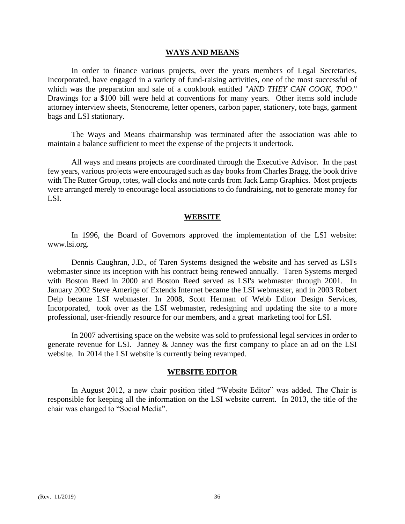#### **WAYS AND MEANS**

In order to finance various projects, over the years members of Legal Secretaries, Incorporated, have engaged in a variety of fund-raising activities, one of the most successful of which was the preparation and sale of a cookbook entitled "*AND THEY CAN COOK, TOO*." Drawings for a \$100 bill were held at conventions for many years. Other items sold include attorney interview sheets, Stenocreme, letter openers, carbon paper, stationery, tote bags, garment bags and LSI stationary.

The Ways and Means chairmanship was terminated after the association was able to maintain a balance sufficient to meet the expense of the projects it undertook.

All ways and means projects are coordinated through the Executive Advisor. In the past few years, various projects were encouraged such as day books from Charles Bragg, the book drive with The Rutter Group, totes, wall clocks and note cards from Jack Lamp Graphics. Most projects were arranged merely to encourage local associations to do fundraising, not to generate money for LSI.

#### **WEBSITE**

In 1996, the Board of Governors approved the implementation of the LSI website: www.lsi.org.

Dennis Caughran, J.D., of Taren Systems designed the website and has served as LSI's webmaster since its inception with his contract being renewed annually. Taren Systems merged with Boston Reed in 2000 and Boston Reed served as LSI's webmaster through 2001. In January 2002 Steve Amerige of Extends Internet became the LSI webmaster, and in 2003 Robert Delp became LSI webmaster. In 2008, Scott Herman of Webb Editor Design Services, Incorporated, took over as the LSI webmaster, redesigning and updating the site to a more professional, user-friendly resource for our members, and a great marketing tool for LSI.

In 2007 advertising space on the website was sold to professional legal services in order to generate revenue for LSI. Janney & Janney was the first company to place an ad on the LSI website. In 2014 the LSI website is currently being revamped.

#### **WEBSITE EDITOR**

In August 2012, a new chair position titled "Website Editor" was added. The Chair is responsible for keeping all the information on the LSI website current. In 2013, the title of the chair was changed to "Social Media".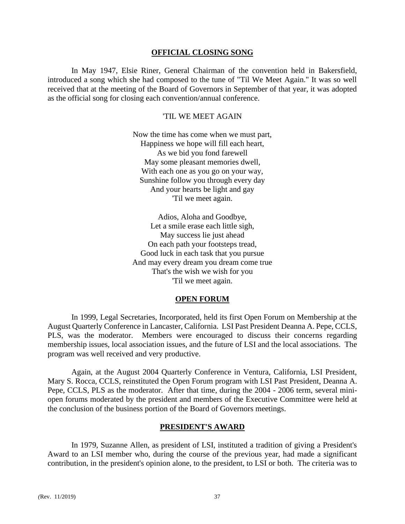#### **OFFICIAL CLOSING SONG**

In May 1947, Elsie Riner, General Chairman of the convention held in Bakersfield, introduced a song which she had composed to the tune of "Til We Meet Again." It was so well received that at the meeting of the Board of Governors in September of that year, it was adopted as the official song for closing each convention/annual conference.

## 'TIL WE MEET AGAIN

Now the time has come when we must part, Happiness we hope will fill each heart, As we bid you fond farewell May some pleasant memories dwell, With each one as you go on your way, Sunshine follow you through every day And your hearts be light and gay 'Til we meet again.

Adios, Aloha and Goodbye, Let a smile erase each little sigh, May success lie just ahead On each path your footsteps tread, Good luck in each task that you pursue And may every dream you dream come true That's the wish we wish for you 'Til we meet again.

## **OPEN FORUM**

In 1999, Legal Secretaries, Incorporated, held its first Open Forum on Membership at the August Quarterly Conference in Lancaster, California. LSI Past President Deanna A. Pepe, CCLS, PLS, was the moderator. Members were encouraged to discuss their concerns regarding membership issues, local association issues, and the future of LSI and the local associations. The program was well received and very productive.

Again, at the August 2004 Quarterly Conference in Ventura, California, LSI President, Mary S. Rocca, CCLS, reinstituted the Open Forum program with LSI Past President, Deanna A. Pepe, CCLS, PLS as the moderator. After that time, during the 2004 - 2006 term, several miniopen forums moderated by the president and members of the Executive Committee were held at the conclusion of the business portion of the Board of Governors meetings.

### **PRESIDENT'S AWARD**

In 1979, Suzanne Allen, as president of LSI, instituted a tradition of giving a President's Award to an LSI member who, during the course of the previous year, had made a significant contribution, in the president's opinion alone, to the president, to LSI or both. The criteria was to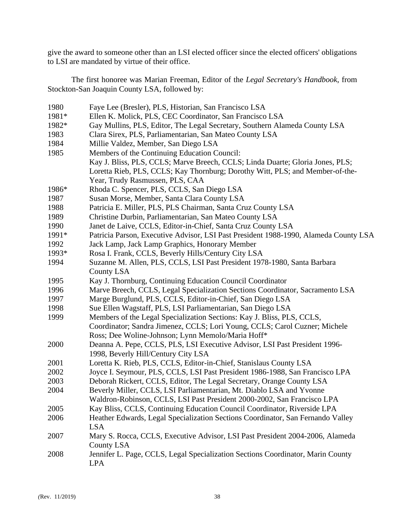give the award to someone other than an LSI elected officer since the elected officers' obligations to LSI are mandated by virtue of their office.

The first honoree was Marian Freeman, Editor of the *Legal Secretary's Handbook*, from Stockton-San Joaquin County LSA, followed by:

| 1980  | Faye Lee (Bresler), PLS, Historian, San Francisco LSA                                |
|-------|--------------------------------------------------------------------------------------|
| 1981* | Ellen K. Molick, PLS, CEC Coordinator, San Francisco LSA                             |
| 1982* | Gay Mullins, PLS, Editor, The Legal Secretary, Southern Alameda County LSA           |
| 1983  | Clara Sirex, PLS, Parliamentarian, San Mateo County LSA                              |
| 1984  | Millie Valdez, Member, San Diego LSA                                                 |
| 1985  | Members of the Continuing Education Council:                                         |
|       | Kay J. Bliss, PLS, CCLS; Marve Breech, CCLS; Linda Duarte; Gloria Jones, PLS;        |
|       | Loretta Rieb, PLS, CCLS; Kay Thornburg; Dorothy Witt, PLS; and Member-of-the-        |
|       | Year, Trudy Rasmussen, PLS, CAA                                                      |
| 1986* | Rhoda C. Spencer, PLS, CCLS, San Diego LSA                                           |
| 1987  | Susan Morse, Member, Santa Clara County LSA                                          |
| 1988  | Patricia E. Miller, PLS, PLS Chairman, Santa Cruz County LSA                         |
| 1989  | Christine Durbin, Parliamentarian, San Mateo County LSA                              |
| 1990  | Janet de Laive, CCLS, Editor-in-Chief, Santa Cruz County LSA                         |
| 1991* | Patricia Parson, Executive Advisor, LSI Past President 1988-1990, Alameda County LSA |
| 1992  | Jack Lamp, Jack Lamp Graphics, Honorary Member                                       |
| 1993* | Rosa I. Frank, CCLS, Beverly Hills/Century City LSA                                  |
| 1994  | Suzanne M. Allen, PLS, CCLS, LSI Past President 1978-1980, Santa Barbara             |
|       | <b>County LSA</b>                                                                    |
| 1995  | Kay J. Thornburg, Continuing Education Council Coordinator                           |
| 1996  | Marve Breech, CCLS, Legal Specialization Sections Coordinator, Sacramento LSA        |
| 1997  | Marge Burglund, PLS, CCLS, Editor-in-Chief, San Diego LSA                            |
| 1998  | Sue Ellen Wagstaff, PLS, LSI Parliamentarian, San Diego LSA                          |
| 1999  | Members of the Legal Specialization Sections: Kay J. Bliss, PLS, CCLS,               |
|       | Coordinator; Sandra Jimenez, CCLS; Lori Young, CCLS; Carol Cuzner; Michele           |
|       | Ross; Dee Woline-Johnson; Lynn Memolo/Maria Hoff*                                    |
| 2000  | Deanna A. Pepe, CCLS, PLS, LSI Executive Advisor, LSI Past President 1996-           |
|       | 1998, Beverly Hill/Century City LSA                                                  |
| 2001  | Loretta K. Rieb, PLS, CCLS, Editor-in-Chief, Stanislaus County LSA                   |
| 2002  | Joyce I. Seymour, PLS, CCLS, LSI Past President 1986-1988, San Francisco LPA         |
| 2003  | Deborah Rickert, CCLS, Editor, The Legal Secretary, Orange County LSA                |
| 2004  | Beverly Miller, CCLS, LSI Parliamentarian, Mt. Diablo LSA and Yvonne                 |
|       | Waldron-Robinson, CCLS, LSI Past President 2000-2002, San Francisco LPA              |
| 2005  | Kay Bliss, CCLS, Continuing Education Council Coordinator, Riverside LPA             |
| 2006  | Heather Edwards, Legal Specialization Sections Coordinator, San Fernando Valley      |
|       | <b>LSA</b>                                                                           |
| 2007  | Mary S. Rocca, CCLS, Executive Advisor, LSI Past President 2004-2006, Alameda        |
|       | County LSA                                                                           |
| 2008  | Jennifer L. Page, CCLS, Legal Specialization Sections Coordinator, Marin County      |
|       | <b>LPA</b>                                                                           |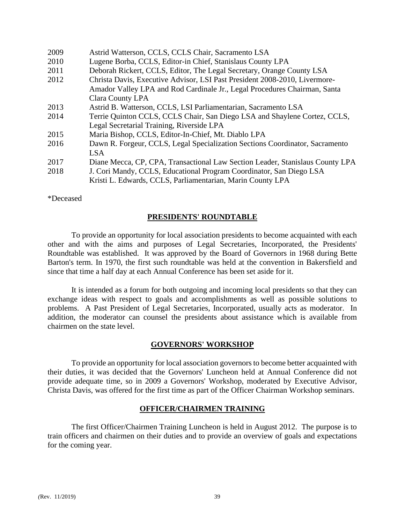| 2009 | Astrid Watterson, CCLS, CCLS Chair, Sacramento LSA                            |
|------|-------------------------------------------------------------------------------|
| 2010 | Lugene Borba, CCLS, Editor-in Chief, Stanislaus County LPA                    |
| 2011 | Deborah Rickert, CCLS, Editor, The Legal Secretary, Orange County LSA         |
| 2012 | Christa Davis, Executive Advisor, LSI Past President 2008-2010, Livermore-    |
|      | Amador Valley LPA and Rod Cardinale Jr., Legal Procedures Chairman, Santa     |
|      | Clara County LPA                                                              |
| 2013 | Astrid B. Watterson, CCLS, LSI Parliamentarian, Sacramento LSA                |
| 2014 | Terrie Quinton CCLS, CCLS Chair, San Diego LSA and Shaylene Cortez, CCLS,     |
|      | Legal Secretarial Training, Riverside LPA                                     |
| 2015 | Maria Bishop, CCLS, Editor-In-Chief, Mt. Diablo LPA                           |
| 2016 | Dawn R. Forgeur, CCLS, Legal Specialization Sections Coordinator, Sacramento  |
|      | <b>LSA</b>                                                                    |
| 2017 | Diane Mecca, CP, CPA, Transactional Law Section Leader, Stanislaus County LPA |
| 2018 | J. Cori Mandy, CCLS, Educational Program Coordinator, San Diego LSA           |
|      | Kristi L. Edwards, CCLS, Parliamentarian, Marin County LPA                    |

\*Deceased

# **PRESIDENTS' ROUNDTABLE**

To provide an opportunity for local association presidents to become acquainted with each other and with the aims and purposes of Legal Secretaries, Incorporated, the Presidents' Roundtable was established. It was approved by the Board of Governors in 1968 during Bette Barton's term. In 1970, the first such roundtable was held at the convention in Bakersfield and since that time a half day at each Annual Conference has been set aside for it.

It is intended as a forum for both outgoing and incoming local presidents so that they can exchange ideas with respect to goals and accomplishments as well as possible solutions to problems. A Past President of Legal Secretaries, Incorporated, usually acts as moderator. In addition, the moderator can counsel the presidents about assistance which is available from chairmen on the state level.

## **GOVERNORS' WORKSHOP**

To provide an opportunity for local association governors to become better acquainted with their duties, it was decided that the Governors' Luncheon held at Annual Conference did not provide adequate time, so in 2009 a Governors' Workshop, moderated by Executive Advisor, Christa Davis, was offered for the first time as part of the Officer Chairman Workshop seminars.

#### **OFFICER/CHAIRMEN TRAINING**

The first Officer/Chairmen Training Luncheon is held in August 2012. The purpose is to train officers and chairmen on their duties and to provide an overview of goals and expectations for the coming year.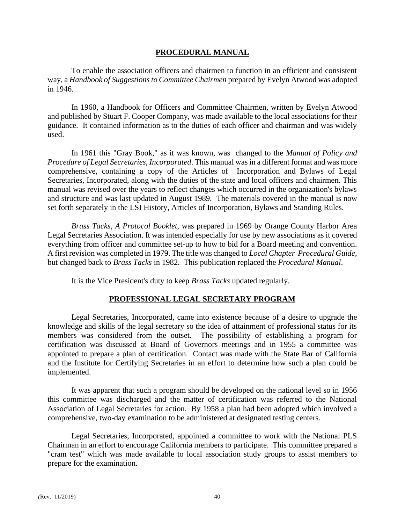# **PROCEDURAL MANUAL**

To enable the association officers and chairmen to function in an efficient and consistent way, a *Handbook of Suggestions to Committee Chairmen* prepared by Evelyn Atwood was adopted in 1946.

In 1960, a Handbook for Officers and Committee Chairmen, written by Evelyn Atwood and published by Stuart F. Cooper Company, was made available to the local associations for their guidance. It contained information as to the duties of each officer and chairman and was widely used.

In 1961 this "Gray Book," as it was known, was changed to the *Manual of Policy and Procedure of Legal Secretaries, Incorporated*. This manual was in a different format and was more comprehensive, containing a copy of the Articles of Incorporation and Bylaws of Legal Secretaries, Incorporated, along with the duties of the state and local officers and chairmen. This manual was revised over the years to reflect changes which occurred in the organization's bylaws and structure and was last updated in August 1989. The materials covered in the manual is now set forth separately in the LSI History, Articles of Incorporation, Bylaws and Standing Rules.

*Brass Tacks, A Protocol Booklet*, was prepared in 1969 by Orange County Harbor Area Legal Secretaries Association. It was intended especially for use by new associations as it covered everything from officer and committee set-up to how to bid for a Board meeting and convention. A first revision was completed in 1979. The title was changed to *Local Chapter Procedural Guide*, but changed back to *Brass Tacks* in 1982. This publication replaced the *Procedural Manual*.

It is the Vice President's duty to keep *Brass Tacks* updated regularly.

# **PROFESSIONAL LEGAL SECRETARY PROGRAM**

Legal Secretaries, Incorporated, came into existence because of a desire to upgrade the knowledge and skills of the legal secretary so the idea of attainment of professional status for its members was considered from the outset. The possibility of establishing a program for certification was discussed at Board of Governors meetings and in 1955 a committee was appointed to prepare a plan of certification. Contact was made with the State Bar of California and the Institute for Certifying Secretaries in an effort to determine how such a plan could be implemented.

It was apparent that such a program should be developed on the national level so in 1956 this committee was discharged and the matter of certification was referred to the National Association of Legal Secretaries for action. By 1958 a plan had been adopted which involved a comprehensive, two-day examination to be administered at designated testing centers.

Legal Secretaries, Incorporated, appointed a committee to work with the National PLS Chairman in an effort to encourage California members to participate. This committee prepared a "cram test" which was made available to local association study groups to assist members to prepare for the examination.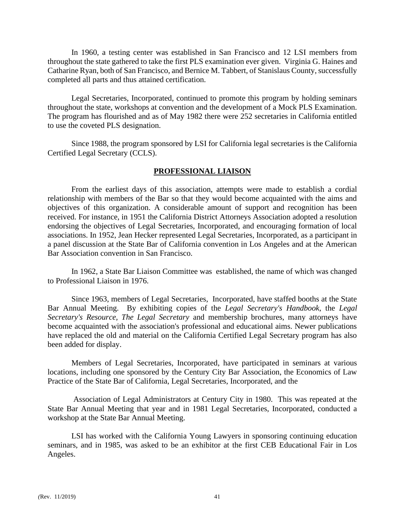In 1960, a testing center was established in San Francisco and 12 LSI members from throughout the state gathered to take the first PLS examination ever given. Virginia G. Haines and Catharine Ryan, both of San Francisco, and Bernice M. Tabbert, of Stanislaus County, successfully completed all parts and thus attained certification.

Legal Secretaries, Incorporated, continued to promote this program by holding seminars throughout the state, workshops at convention and the development of a Mock PLS Examination. The program has flourished and as of May 1982 there were 252 secretaries in California entitled to use the coveted PLS designation.

Since 1988, the program sponsored by LSI for California legal secretaries is the California Certified Legal Secretary (CCLS).

# **PROFESSIONAL LIAISON**

From the earliest days of this association, attempts were made to establish a cordial relationship with members of the Bar so that they would become acquainted with the aims and objectives of this organization. A considerable amount of support and recognition has been received. For instance, in 1951 the California District Attorneys Association adopted a resolution endorsing the objectives of Legal Secretaries, Incorporated, and encouraging formation of local associations. In 1952, Jean Hecker represented Legal Secretaries, Incorporated, as a participant in a panel discussion at the State Bar of California convention in Los Angeles and at the American Bar Association convention in San Francisco.

In 1962, a State Bar Liaison Committee was established, the name of which was changed to Professional Liaison in 1976.

Since 1963, members of Legal Secretaries, Incorporated, have staffed booths at the State Bar Annual Meeting. By exhibiting copies of the *Legal Secretary's Handbook*, the *Legal Secretary's Resource, The Legal Secretary* and membership brochures, many attorneys have become acquainted with the association's professional and educational aims. Newer publications have replaced the old and material on the California Certified Legal Secretary program has also been added for display.

Members of Legal Secretaries, Incorporated, have participated in seminars at various locations, including one sponsored by the Century City Bar Association, the Economics of Law Practice of the State Bar of California, Legal Secretaries, Incorporated, and the

Association of Legal Administrators at Century City in 1980. This was repeated at the State Bar Annual Meeting that year and in 1981 Legal Secretaries, Incorporated, conducted a workshop at the State Bar Annual Meeting.

LSI has worked with the California Young Lawyers in sponsoring continuing education seminars, and in 1985, was asked to be an exhibitor at the first CEB Educational Fair in Los Angeles.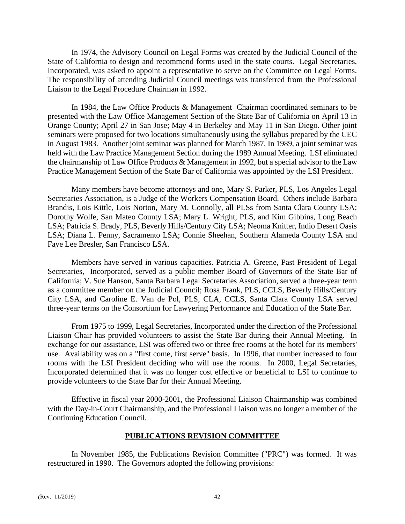In 1974, the Advisory Council on Legal Forms was created by the Judicial Council of the State of California to design and recommend forms used in the state courts. Legal Secretaries, Incorporated, was asked to appoint a representative to serve on the Committee on Legal Forms. The responsibility of attending Judicial Council meetings was transferred from the Professional Liaison to the Legal Procedure Chairman in 1992.

In 1984, the Law Office Products & Management Chairman coordinated seminars to be presented with the Law Office Management Section of the State Bar of California on April 13 in Orange County; April 27 in San Jose; May 4 in Berkeley and May 11 in San Diego. Other joint seminars were proposed for two locations simultaneously using the syllabus prepared by the CEC in August 1983. Another joint seminar was planned for March 1987. In 1989, a joint seminar was held with the Law Practice Management Section during the 1989 Annual Meeting. LSI eliminated the chairmanship of Law Office Products & Management in 1992, but a special advisor to the Law Practice Management Section of the State Bar of California was appointed by the LSI President.

Many members have become attorneys and one, Mary S. Parker, PLS, Los Angeles Legal Secretaries Association, is a Judge of the Workers Compensation Board. Others include Barbara Brandis, Lois Kittle, Lois Norton, Mary M. Connolly, all PLSs from Santa Clara County LSA; Dorothy Wolfe, San Mateo County LSA; Mary L. Wright, PLS, and Kim Gibbins, Long Beach LSA; Patricia S. Brady, PLS, Beverly Hills/Century City LSA; Neoma Knitter, Indio Desert Oasis LSA; Diana L. Penny, Sacramento LSA; Connie Sheehan, Southern Alameda County LSA and Faye Lee Bresler, San Francisco LSA.

Members have served in various capacities. Patricia A. Greene, Past President of Legal Secretaries, Incorporated, served as a public member Board of Governors of the State Bar of California; V. Sue Hanson, Santa Barbara Legal Secretaries Association, served a three-year term as a committee member on the Judicial Council; Rosa Frank, PLS, CCLS, Beverly Hills/Century City LSA, and Caroline E. Van de Pol, PLS, CLA, CCLS, Santa Clara County LSA served three-year terms on the Consortium for Lawyering Performance and Education of the State Bar.

From 1975 to 1999, Legal Secretaries, Incorporated under the direction of the Professional Liaison Chair has provided volunteers to assist the State Bar during their Annual Meeting. In exchange for our assistance, LSI was offered two or three free rooms at the hotel for its members' use. Availability was on a "first come, first serve" basis. In 1996, that number increased to four rooms with the LSI President deciding who will use the rooms. In 2000, Legal Secretaries, Incorporated determined that it was no longer cost effective or beneficial to LSI to continue to provide volunteers to the State Bar for their Annual Meeting.

Effective in fiscal year 2000-2001, the Professional Liaison Chairmanship was combined with the Day-in-Court Chairmanship, and the Professional Liaison was no longer a member of the Continuing Education Council.

## **PUBLICATIONS REVISION COMMITTEE**

In November 1985, the Publications Revision Committee ("PRC") was formed. It was restructured in 1990. The Governors adopted the following provisions: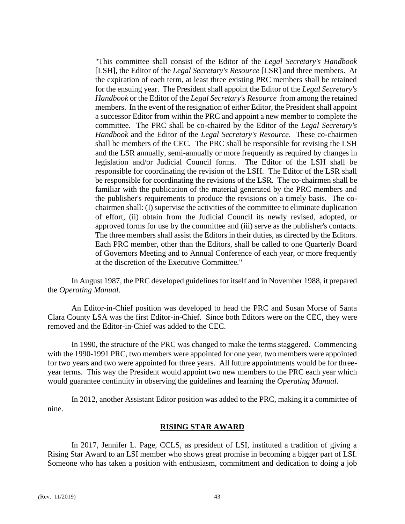"This committee shall consist of the Editor of the *Legal Secretary's Handbook* [LSH], the Editor of the *Legal Secretary's Resource* [LSR] and three members. At the expiration of each term, at least three existing PRC members shall be retained for the ensuing year. The President shall appoint the Editor of the *Legal Secretary's Handbook* or the Editor of the *Legal Secretary's Resource* from among the retained members. In the event of the resignation of either Editor, the President shall appoint a successor Editor from within the PRC and appoint a new member to complete the committee. The PRC shall be co-chaired by the Editor of the *Legal Secretary's Handbook* and the Editor of the *Legal Secretary's Resource*. These co-chairmen shall be members of the CEC. The PRC shall be responsible for revising the LSH and the LSR annually, semi-annually or more frequently as required by changes in legislation and/or Judicial Council forms. The Editor of the LSH shall be responsible for coordinating the revision of the LSH. The Editor of the LSR shall be responsible for coordinating the revisions of the LSR. The co-chairmen shall be familiar with the publication of the material generated by the PRC members and the publisher's requirements to produce the revisions on a timely basis. The cochairmen shall: (I) supervise the activities of the committee to eliminate duplication of effort, (ii) obtain from the Judicial Council its newly revised, adopted, or approved forms for use by the committee and (iii) serve as the publisher's contacts. The three members shall assist the Editors in their duties, as directed by the Editors. Each PRC member, other than the Editors, shall be called to one Quarterly Board of Governors Meeting and to Annual Conference of each year, or more frequently at the discretion of the Executive Committee."

In August 1987, the PRC developed guidelines for itself and in November 1988, it prepared the *Operating Manual*.

An Editor-in-Chief position was developed to head the PRC and Susan Morse of Santa Clara County LSA was the first Editor-in-Chief. Since both Editors were on the CEC, they were removed and the Editor-in-Chief was added to the CEC.

In 1990, the structure of the PRC was changed to make the terms staggered. Commencing with the 1990-1991 PRC, two members were appointed for one year, two members were appointed for two years and two were appointed for three years. All future appointments would be for threeyear terms. This way the President would appoint two new members to the PRC each year which would guarantee continuity in observing the guidelines and learning the *Operating Manual*.

In 2012, another Assistant Editor position was added to the PRC, making it a committee of nine.

# **RISING STAR AWARD**

In 2017, Jennifer L. Page, CCLS, as president of LSI, instituted a tradition of giving a Rising Star Award to an LSI member who shows great promise in becoming a bigger part of LSI. Someone who has taken a position with enthusiasm, commitment and dedication to doing a job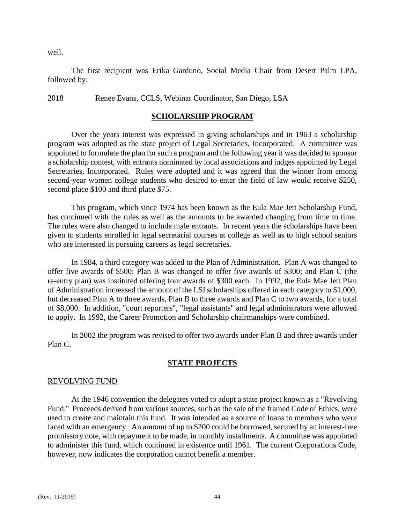well.

The first recipient was Erika Garduno, Social Media Chair from Desert Palm LPA, followed by:

2018 Renee Evans, CCLS, Webinar Coordinator, San Diego, LSA

# **SCHOLARSHIP PROGRAM**

Over the years interest was expressed in giving scholarships and in 1963 a scholarship program was adopted as the state project of Legal Secretaries, Incorporated. A committee was appointed to formulate the plan for such a program and the following year it was decided to sponsor a scholarship contest, with entrants nominated by local associations and judges appointed by Legal Secretaries, Incorporated. Rules were adopted and it was agreed that the winner from among second-year women college students who desired to enter the field of law would receive \$250, second place \$100 and third place \$75.

This program, which since 1974 has been known as the Eula Mae Jett Scholarship Fund, has continued with the rules as well as the amounts to be awarded changing from time to time. The rules were also changed to include male entrants. In recent years the scholarships have been given to students enrolled in legal secretarial courses at college as well as to high school seniors who are interested in pursuing careers as legal secretaries.

In 1984, a third category was added to the Plan of Administration. Plan A was changed to offer five awards of \$500; Plan B was changed to offer five awards of \$300; and Plan C (the re-entry plan) was instituted offering four awards of \$300 each. In 1992, the Eula Mae Jett Plan of Administration increased the amount of the LSI scholarships offered in each category to \$1,000, but decreased Plan A to three awards, Plan B to three awards and Plan C to two awards, for a total of \$8,000. In addition, "court reporters", "legal assistants" and legal administrators were allowed to apply. In 1992, the Career Promotion and Scholarship chairmanships were combined.

In 2002 the program was revised to offer two awards under Plan B and three awards under Plan C.

# **STATE PROJECTS**

## REVOLVING FUND

At the 1946 convention the delegates voted to adopt a state project known as a "Revolving Fund." Proceeds derived from various sources, such as the sale of the framed Code of Ethics, were used to create and maintain this fund. It was intended as a source of loans to members who were faced with an emergency. An amount of up to \$200 could be borrowed, secured by an interest-free promissory note, with repayment to be made, in monthly installments. A committee was appointed to administer this fund, which continued in existence until 1961. The current Corporations Code, however, now indicates the corporation cannot benefit a member.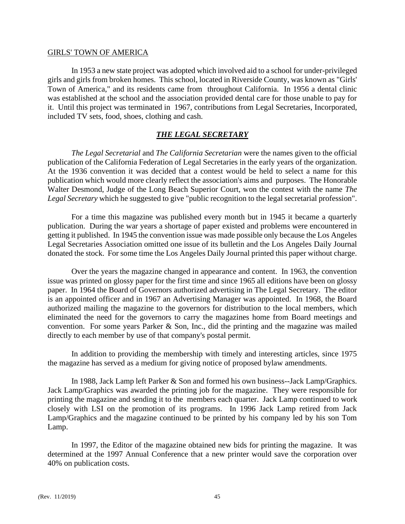#### GIRLS' TOWN OF AMERICA

In 1953 a new state project was adopted which involved aid to a school for under-privileged girls and girls from broken homes. This school, located in Riverside County, was known as "Girls' Town of America," and its residents came from throughout California. In 1956 a dental clinic was established at the school and the association provided dental care for those unable to pay for it. Until this project was terminated in 1967, contributions from Legal Secretaries, Incorporated, included TV sets, food, shoes, clothing and cash.

# *THE LEGAL SECRETARY*

*The Legal Secretarial* and *The California Secretarian* were the names given to the official publication of the California Federation of Legal Secretaries in the early years of the organization. At the 1936 convention it was decided that a contest would be held to select a name for this publication which would more clearly reflect the association's aims and purposes. The Honorable Walter Desmond, Judge of the Long Beach Superior Court, won the contest with the name *The Legal Secretary* which he suggested to give "public recognition to the legal secretarial profession".

For a time this magazine was published every month but in 1945 it became a quarterly publication. During the war years a shortage of paper existed and problems were encountered in getting it published. In 1945 the convention issue was made possible only because the Los Angeles Legal Secretaries Association omitted one issue of its bulletin and the Los Angeles Daily Journal donated the stock. For some time the Los Angeles Daily Journal printed this paper without charge.

Over the years the magazine changed in appearance and content. In 1963, the convention issue was printed on glossy paper for the first time and since 1965 all editions have been on glossy paper. In 1964 the Board of Governors authorized advertising in The Legal Secretary. The editor is an appointed officer and in 1967 an Advertising Manager was appointed. In 1968, the Board authorized mailing the magazine to the governors for distribution to the local members, which eliminated the need for the governors to carry the magazines home from Board meetings and convention. For some years Parker & Son, Inc., did the printing and the magazine was mailed directly to each member by use of that company's postal permit.

In addition to providing the membership with timely and interesting articles, since 1975 the magazine has served as a medium for giving notice of proposed bylaw amendments.

In 1988, Jack Lamp left Parker & Son and formed his own business--Jack Lamp/Graphics. Jack Lamp/Graphics was awarded the printing job for the magazine. They were responsible for printing the magazine and sending it to the members each quarter. Jack Lamp continued to work closely with LSI on the promotion of its programs. In 1996 Jack Lamp retired from Jack Lamp/Graphics and the magazine continued to be printed by his company led by his son Tom Lamp.

In 1997, the Editor of the magazine obtained new bids for printing the magazine. It was determined at the 1997 Annual Conference that a new printer would save the corporation over 40% on publication costs.